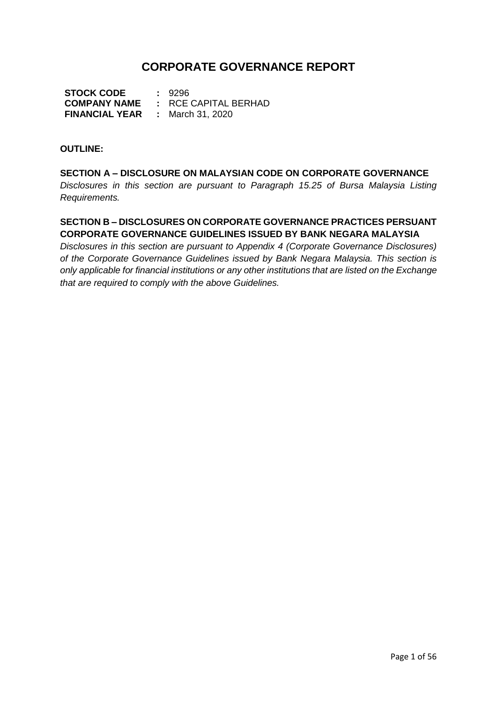# **CORPORATE GOVERNANCE REPORT**

**STOCK CODE :** 9296 **COMPANY NAME :** RCE CAPITAL BERHAD **FINANCIAL YEAR :** March 31, 2020

#### **OUTLINE:**

**SECTION A – DISCLOSURE ON MALAYSIAN CODE ON CORPORATE GOVERNANCE** *Disclosures in this section are pursuant to Paragraph 15.25 of Bursa Malaysia Listing Requirements.*

# **SECTION B – DISCLOSURES ON CORPORATE GOVERNANCE PRACTICES PERSUANT CORPORATE GOVERNANCE GUIDELINES ISSUED BY BANK NEGARA MALAYSIA**

*Disclosures in this section are pursuant to Appendix 4 (Corporate Governance Disclosures) of the Corporate Governance Guidelines issued by Bank Negara Malaysia. This section is only applicable for financial institutions or any other institutions that are listed on the Exchange that are required to comply with the above Guidelines.*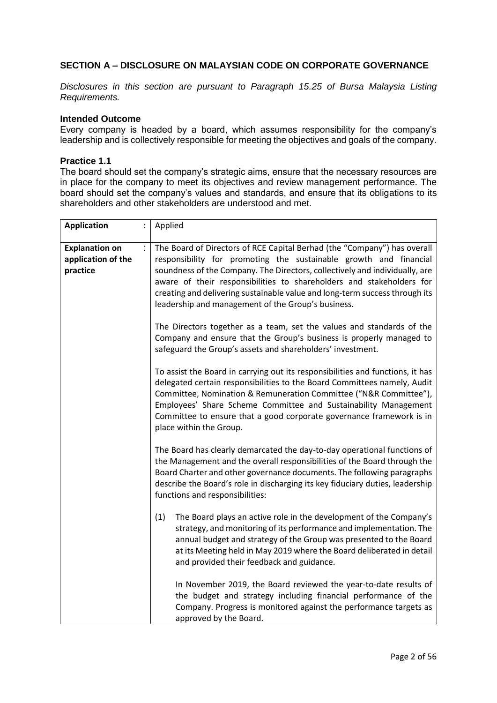## **SECTION A – DISCLOSURE ON MALAYSIAN CODE ON CORPORATE GOVERNANCE**

*Disclosures in this section are pursuant to Paragraph 15.25 of Bursa Malaysia Listing Requirements.*

#### **Intended Outcome**

Every company is headed by a board, which assumes responsibility for the company's leadership and is collectively responsible for meeting the objectives and goals of the company.

#### **Practice 1.1**

The board should set the company's strategic aims, ensure that the necessary resources are in place for the company to meet its objectives and review management performance. The board should set the company's values and standards, and ensure that its obligations to its shareholders and other stakeholders are understood and met.

| <b>Application</b>                                      | Applied                                                                                                                                                                                                                                                                                                                                                                                                                                   |  |
|---------------------------------------------------------|-------------------------------------------------------------------------------------------------------------------------------------------------------------------------------------------------------------------------------------------------------------------------------------------------------------------------------------------------------------------------------------------------------------------------------------------|--|
| <b>Explanation on</b><br>application of the<br>practice | The Board of Directors of RCE Capital Berhad (the "Company") has overall<br>responsibility for promoting the sustainable growth and financial<br>soundness of the Company. The Directors, collectively and individually, are<br>aware of their responsibilities to shareholders and stakeholders for<br>creating and delivering sustainable value and long-term success through its<br>leadership and management of the Group's business. |  |
|                                                         | The Directors together as a team, set the values and standards of the<br>Company and ensure that the Group's business is properly managed to<br>safeguard the Group's assets and shareholders' investment.                                                                                                                                                                                                                                |  |
|                                                         | To assist the Board in carrying out its responsibilities and functions, it has<br>delegated certain responsibilities to the Board Committees namely, Audit<br>Committee, Nomination & Remuneration Committee ("N&R Committee"),<br>Employees' Share Scheme Committee and Sustainability Management<br>Committee to ensure that a good corporate governance framework is in<br>place within the Group.                                     |  |
|                                                         | The Board has clearly demarcated the day-to-day operational functions of<br>the Management and the overall responsibilities of the Board through the<br>Board Charter and other governance documents. The following paragraphs<br>describe the Board's role in discharging its key fiduciary duties, leadership<br>functions and responsibilities:                                                                                        |  |
|                                                         | (1)<br>The Board plays an active role in the development of the Company's<br>strategy, and monitoring of its performance and implementation. The<br>annual budget and strategy of the Group was presented to the Board<br>at its Meeting held in May 2019 where the Board deliberated in detail<br>and provided their feedback and guidance.                                                                                              |  |
|                                                         | In November 2019, the Board reviewed the year-to-date results of<br>the budget and strategy including financial performance of the<br>Company. Progress is monitored against the performance targets as<br>approved by the Board.                                                                                                                                                                                                         |  |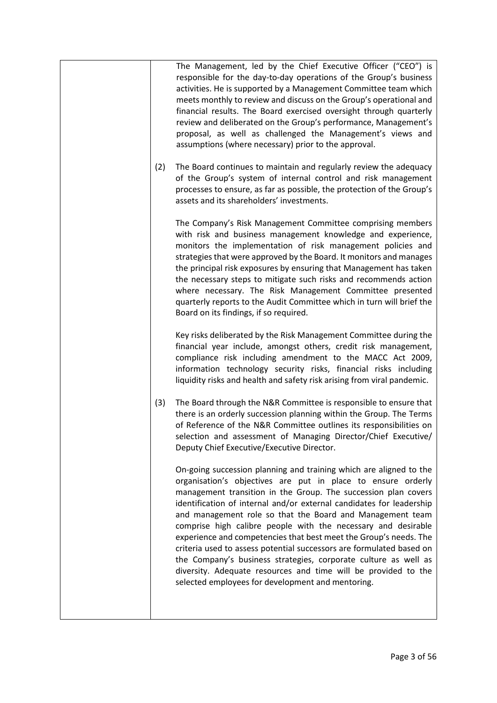|     | The Management, led by the Chief Executive Officer ("CEO") is<br>responsible for the day-to-day operations of the Group's business<br>activities. He is supported by a Management Committee team which<br>meets monthly to review and discuss on the Group's operational and<br>financial results. The Board exercised oversight through quarterly<br>review and deliberated on the Group's performance, Management's<br>proposal, as well as challenged the Management's views and<br>assumptions (where necessary) prior to the approval.                                                                                                                                                                                                       |
|-----|---------------------------------------------------------------------------------------------------------------------------------------------------------------------------------------------------------------------------------------------------------------------------------------------------------------------------------------------------------------------------------------------------------------------------------------------------------------------------------------------------------------------------------------------------------------------------------------------------------------------------------------------------------------------------------------------------------------------------------------------------|
| (2) | The Board continues to maintain and regularly review the adequacy<br>of the Group's system of internal control and risk management<br>processes to ensure, as far as possible, the protection of the Group's<br>assets and its shareholders' investments.                                                                                                                                                                                                                                                                                                                                                                                                                                                                                         |
|     | The Company's Risk Management Committee comprising members<br>with risk and business management knowledge and experience,<br>monitors the implementation of risk management policies and<br>strategies that were approved by the Board. It monitors and manages<br>the principal risk exposures by ensuring that Management has taken<br>the necessary steps to mitigate such risks and recommends action<br>where necessary. The Risk Management Committee presented<br>quarterly reports to the Audit Committee which in turn will brief the<br>Board on its findings, if so required.                                                                                                                                                          |
|     | Key risks deliberated by the Risk Management Committee during the<br>financial year include, amongst others, credit risk management,<br>compliance risk including amendment to the MACC Act 2009,<br>information technology security risks, financial risks including<br>liquidity risks and health and safety risk arising from viral pandemic.                                                                                                                                                                                                                                                                                                                                                                                                  |
| (3) | The Board through the N&R Committee is responsible to ensure that<br>there is an orderly succession planning within the Group. The Terms<br>of Reference of the N&R Committee outlines its responsibilities on<br>selection and assessment of Managing Director/Chief Executive/<br>Deputy Chief Executive/Executive Director.                                                                                                                                                                                                                                                                                                                                                                                                                    |
|     | On-going succession planning and training which are aligned to the<br>organisation's objectives are put in place to ensure orderly<br>management transition in the Group. The succession plan covers<br>identification of internal and/or external candidates for leadership<br>and management role so that the Board and Management team<br>comprise high calibre people with the necessary and desirable<br>experience and competencies that best meet the Group's needs. The<br>criteria used to assess potential successors are formulated based on<br>the Company's business strategies, corporate culture as well as<br>diversity. Adequate resources and time will be provided to the<br>selected employees for development and mentoring. |
|     |                                                                                                                                                                                                                                                                                                                                                                                                                                                                                                                                                                                                                                                                                                                                                   |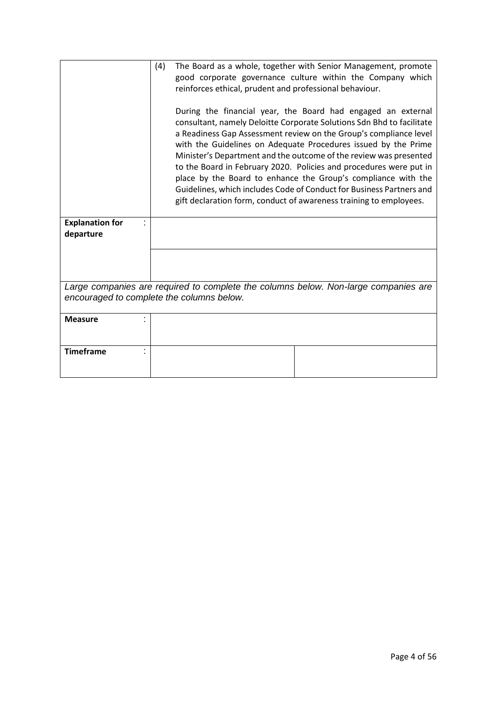|                                                                                                                                  | (4)<br>The Board as a whole, together with Senior Management, promote<br>good corporate governance culture within the Company which<br>reinforces ethical, prudent and professional behaviour.<br>During the financial year, the Board had engaged an external<br>consultant, namely Deloitte Corporate Solutions Sdn Bhd to facilitate<br>a Readiness Gap Assessment review on the Group's compliance level<br>with the Guidelines on Adequate Procedures issued by the Prime<br>Minister's Department and the outcome of the review was presented<br>to the Board in February 2020. Policies and procedures were put in<br>place by the Board to enhance the Group's compliance with the<br>Guidelines, which includes Code of Conduct for Business Partners and<br>gift declaration form, conduct of awareness training to employees. |  |
|----------------------------------------------------------------------------------------------------------------------------------|------------------------------------------------------------------------------------------------------------------------------------------------------------------------------------------------------------------------------------------------------------------------------------------------------------------------------------------------------------------------------------------------------------------------------------------------------------------------------------------------------------------------------------------------------------------------------------------------------------------------------------------------------------------------------------------------------------------------------------------------------------------------------------------------------------------------------------------|--|
| <b>Explanation for</b><br>departure                                                                                              |                                                                                                                                                                                                                                                                                                                                                                                                                                                                                                                                                                                                                                                                                                                                                                                                                                          |  |
|                                                                                                                                  |                                                                                                                                                                                                                                                                                                                                                                                                                                                                                                                                                                                                                                                                                                                                                                                                                                          |  |
| Large companies are required to complete the columns below. Non-large companies are<br>encouraged to complete the columns below. |                                                                                                                                                                                                                                                                                                                                                                                                                                                                                                                                                                                                                                                                                                                                                                                                                                          |  |
| <b>Measure</b>                                                                                                                   |                                                                                                                                                                                                                                                                                                                                                                                                                                                                                                                                                                                                                                                                                                                                                                                                                                          |  |
| <b>Timeframe</b>                                                                                                                 |                                                                                                                                                                                                                                                                                                                                                                                                                                                                                                                                                                                                                                                                                                                                                                                                                                          |  |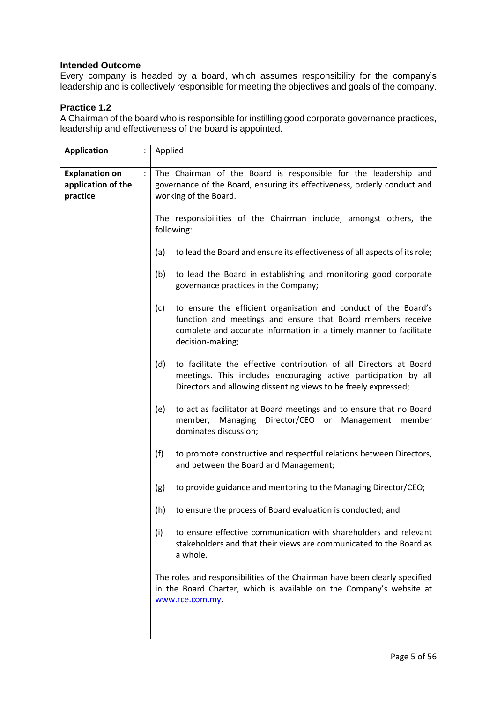Every company is headed by a board, which assumes responsibility for the company's leadership and is collectively responsible for meeting the objectives and goals of the company.

# **Practice 1.2**

A Chairman of the board who is responsible for instilling good corporate governance practices, leadership and effectiveness of the board is appointed.

| <b>Application</b>                                           | Applied                                                                                                                                                                                                                         |  |
|--------------------------------------------------------------|---------------------------------------------------------------------------------------------------------------------------------------------------------------------------------------------------------------------------------|--|
|                                                              |                                                                                                                                                                                                                                 |  |
| <b>Explanation on</b><br>÷<br>application of the<br>practice | The Chairman of the Board is responsible for the leadership and<br>governance of the Board, ensuring its effectiveness, orderly conduct and<br>working of the Board.                                                            |  |
|                                                              | The responsibilities of the Chairman include, amongst others, the<br>following:                                                                                                                                                 |  |
|                                                              | to lead the Board and ensure its effectiveness of all aspects of its role;<br>(a)                                                                                                                                               |  |
|                                                              | to lead the Board in establishing and monitoring good corporate<br>(b)<br>governance practices in the Company;                                                                                                                  |  |
|                                                              | to ensure the efficient organisation and conduct of the Board's<br>(c)<br>function and meetings and ensure that Board members receive<br>complete and accurate information in a timely manner to facilitate<br>decision-making; |  |
|                                                              | to facilitate the effective contribution of all Directors at Board<br>(d)<br>meetings. This includes encouraging active participation by all<br>Directors and allowing dissenting views to be freely expressed;                 |  |
|                                                              | to act as facilitator at Board meetings and to ensure that no Board<br>(e)<br>member, Managing Director/CEO or Management<br>member<br>dominates discussion;                                                                    |  |
|                                                              | (f)<br>to promote constructive and respectful relations between Directors,<br>and between the Board and Management;                                                                                                             |  |
|                                                              | to provide guidance and mentoring to the Managing Director/CEO;<br>(g)                                                                                                                                                          |  |
|                                                              | to ensure the process of Board evaluation is conducted; and<br>(h)                                                                                                                                                              |  |
|                                                              | to ensure effective communication with shareholders and relevant<br>(i)<br>stakeholders and that their views are communicated to the Board as<br>a whole.                                                                       |  |
|                                                              | The roles and responsibilities of the Chairman have been clearly specified<br>in the Board Charter, which is available on the Company's website at<br>www.rce.com.my.                                                           |  |
|                                                              |                                                                                                                                                                                                                                 |  |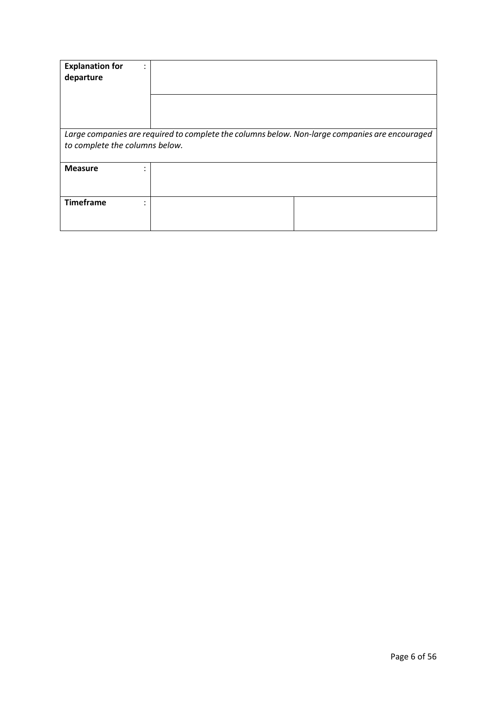| <b>Explanation for</b><br>٠<br>$\bullet$<br>departure                                                                            |  |  |
|----------------------------------------------------------------------------------------------------------------------------------|--|--|
|                                                                                                                                  |  |  |
| Large companies are required to complete the columns below. Non-large companies are encouraged<br>to complete the columns below. |  |  |
| <b>Measure</b><br>٠<br>$\bullet$                                                                                                 |  |  |
| <b>Timeframe</b><br>٠                                                                                                            |  |  |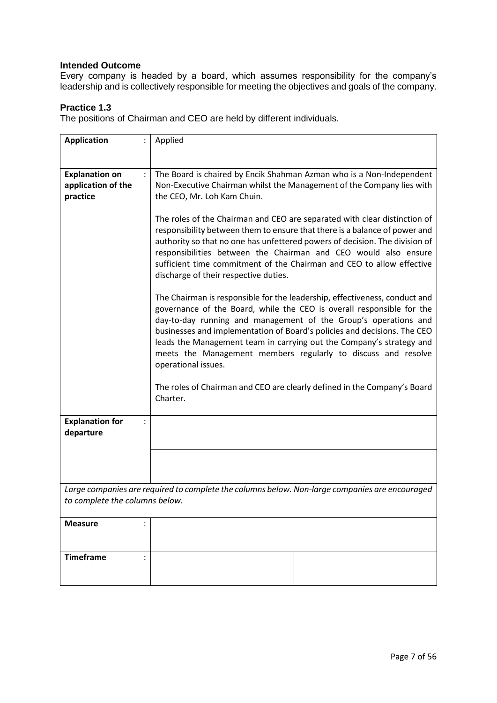Every company is headed by a board, which assumes responsibility for the company's leadership and is collectively responsible for meeting the objectives and goals of the company.

### **Practice 1.3**

The positions of Chairman and CEO are held by different individuals.

| <b>Application</b>                  | Applied                                                                                                                                                                                                                                                                                                                                                                                                                                                                                                                                        |  |
|-------------------------------------|------------------------------------------------------------------------------------------------------------------------------------------------------------------------------------------------------------------------------------------------------------------------------------------------------------------------------------------------------------------------------------------------------------------------------------------------------------------------------------------------------------------------------------------------|--|
|                                     |                                                                                                                                                                                                                                                                                                                                                                                                                                                                                                                                                |  |
|                                     |                                                                                                                                                                                                                                                                                                                                                                                                                                                                                                                                                |  |
| <b>Explanation on</b>               | The Board is chaired by Encik Shahman Azman who is a Non-Independent                                                                                                                                                                                                                                                                                                                                                                                                                                                                           |  |
| application of the                  | Non-Executive Chairman whilst the Management of the Company lies with                                                                                                                                                                                                                                                                                                                                                                                                                                                                          |  |
| practice                            | the CEO, Mr. Loh Kam Chuin.                                                                                                                                                                                                                                                                                                                                                                                                                                                                                                                    |  |
|                                     |                                                                                                                                                                                                                                                                                                                                                                                                                                                                                                                                                |  |
|                                     | The roles of the Chairman and CEO are separated with clear distinction of<br>responsibility between them to ensure that there is a balance of power and<br>authority so that no one has unfettered powers of decision. The division of<br>responsibilities between the Chairman and CEO would also ensure<br>sufficient time commitment of the Chairman and CEO to allow effective<br>discharge of their respective duties.                                                                                                                    |  |
|                                     | The Chairman is responsible for the leadership, effectiveness, conduct and<br>governance of the Board, while the CEO is overall responsible for the<br>day-to-day running and management of the Group's operations and<br>businesses and implementation of Board's policies and decisions. The CEO<br>leads the Management team in carrying out the Company's strategy and<br>meets the Management members regularly to discuss and resolve<br>operational issues.<br>The roles of Chairman and CEO are clearly defined in the Company's Board |  |
|                                     | Charter.                                                                                                                                                                                                                                                                                                                                                                                                                                                                                                                                       |  |
| <b>Explanation for</b><br>departure |                                                                                                                                                                                                                                                                                                                                                                                                                                                                                                                                                |  |
|                                     |                                                                                                                                                                                                                                                                                                                                                                                                                                                                                                                                                |  |
|                                     | Large companies are required to complete the columns below. Non-large companies are encouraged                                                                                                                                                                                                                                                                                                                                                                                                                                                 |  |
| to complete the columns below.      |                                                                                                                                                                                                                                                                                                                                                                                                                                                                                                                                                |  |
| <b>Measure</b>                      |                                                                                                                                                                                                                                                                                                                                                                                                                                                                                                                                                |  |
| <b>Timeframe</b>                    |                                                                                                                                                                                                                                                                                                                                                                                                                                                                                                                                                |  |
|                                     |                                                                                                                                                                                                                                                                                                                                                                                                                                                                                                                                                |  |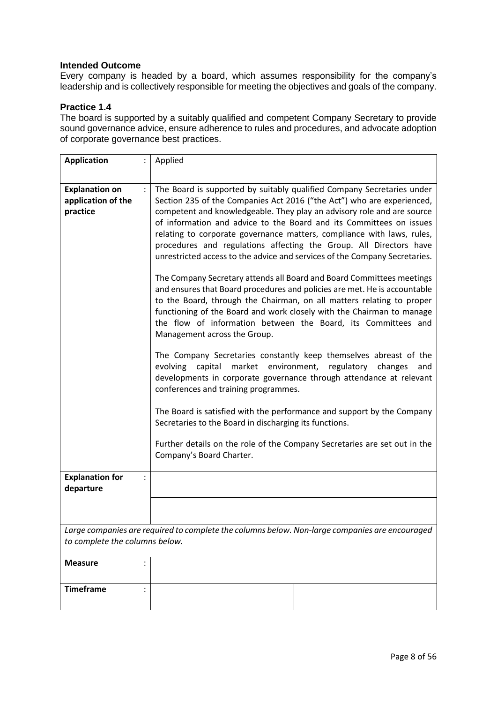Every company is headed by a board, which assumes responsibility for the company's leadership and is collectively responsible for meeting the objectives and goals of the company.

### **Practice 1.4**

The board is supported by a suitably qualified and competent Company Secretary to provide sound governance advice, ensure adherence to rules and procedures, and advocate adoption of corporate governance best practices.

| <b>Application</b>                                      | Applied                                                                                                                                                                                                                                                                                                                                                                                                                                                                                                                                                                                                  |  |
|---------------------------------------------------------|----------------------------------------------------------------------------------------------------------------------------------------------------------------------------------------------------------------------------------------------------------------------------------------------------------------------------------------------------------------------------------------------------------------------------------------------------------------------------------------------------------------------------------------------------------------------------------------------------------|--|
|                                                         |                                                                                                                                                                                                                                                                                                                                                                                                                                                                                                                                                                                                          |  |
| <b>Explanation on</b><br>application of the<br>practice | The Board is supported by suitably qualified Company Secretaries under<br>Section 235 of the Companies Act 2016 ("the Act") who are experienced,<br>competent and knowledgeable. They play an advisory role and are source<br>of information and advice to the Board and its Committees on issues<br>relating to corporate governance matters, compliance with laws, rules,<br>procedures and regulations affecting the Group. All Directors have<br>unrestricted access to the advice and services of the Company Secretaries.<br>The Company Secretary attends all Board and Board Committees meetings |  |
|                                                         | and ensures that Board procedures and policies are met. He is accountable<br>to the Board, through the Chairman, on all matters relating to proper<br>functioning of the Board and work closely with the Chairman to manage<br>the flow of information between the Board, its Committees and<br>Management across the Group.                                                                                                                                                                                                                                                                             |  |
|                                                         | The Company Secretaries constantly keep themselves abreast of the<br>environment,<br>evolving capital<br>market<br>regulatory<br>changes<br>and<br>developments in corporate governance through attendance at relevant<br>conferences and training programmes.                                                                                                                                                                                                                                                                                                                                           |  |
|                                                         | The Board is satisfied with the performance and support by the Company<br>Secretaries to the Board in discharging its functions.                                                                                                                                                                                                                                                                                                                                                                                                                                                                         |  |
|                                                         | Further details on the role of the Company Secretaries are set out in the<br>Company's Board Charter.                                                                                                                                                                                                                                                                                                                                                                                                                                                                                                    |  |
| <b>Explanation for</b><br>departure                     |                                                                                                                                                                                                                                                                                                                                                                                                                                                                                                                                                                                                          |  |
|                                                         |                                                                                                                                                                                                                                                                                                                                                                                                                                                                                                                                                                                                          |  |
| to complete the columns below.                          | Large companies are required to complete the columns below. Non-large companies are encouraged                                                                                                                                                                                                                                                                                                                                                                                                                                                                                                           |  |
| <b>Measure</b>                                          |                                                                                                                                                                                                                                                                                                                                                                                                                                                                                                                                                                                                          |  |
| <b>Timeframe</b>                                        |                                                                                                                                                                                                                                                                                                                                                                                                                                                                                                                                                                                                          |  |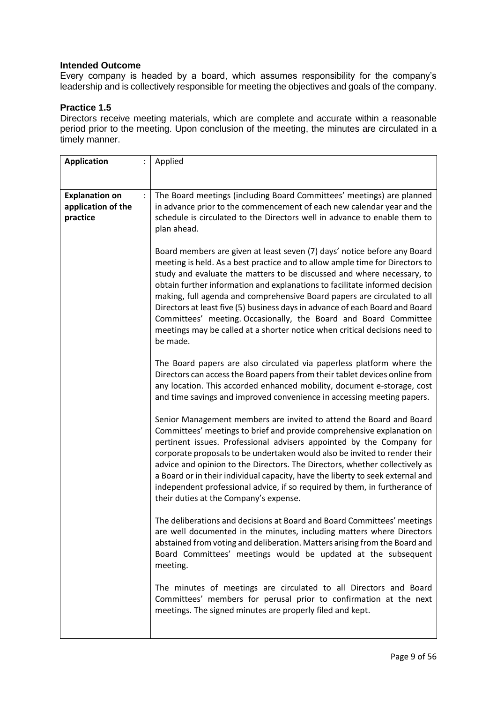Every company is headed by a board, which assumes responsibility for the company's leadership and is collectively responsible for meeting the objectives and goals of the company.

# **Practice 1.5**

Directors receive meeting materials, which are complete and accurate within a reasonable period prior to the meeting. Upon conclusion of the meeting, the minutes are circulated in a timely manner.

| <b>Application</b>                                                                 | $\ddot{\phantom{0}}$ | Applied                                                                                                                                                                                                                                                                                                                                                                                                                                                                                                                                                                                                                         |
|------------------------------------------------------------------------------------|----------------------|---------------------------------------------------------------------------------------------------------------------------------------------------------------------------------------------------------------------------------------------------------------------------------------------------------------------------------------------------------------------------------------------------------------------------------------------------------------------------------------------------------------------------------------------------------------------------------------------------------------------------------|
|                                                                                    |                      |                                                                                                                                                                                                                                                                                                                                                                                                                                                                                                                                                                                                                                 |
| <b>Explanation on</b><br>application of the<br>practice<br>plan ahead.<br>be made. |                      | The Board meetings (including Board Committees' meetings) are planned<br>in advance prior to the commencement of each new calendar year and the<br>schedule is circulated to the Directors well in advance to enable them to                                                                                                                                                                                                                                                                                                                                                                                                    |
|                                                                                    |                      | Board members are given at least seven (7) days' notice before any Board<br>meeting is held. As a best practice and to allow ample time for Directors to<br>study and evaluate the matters to be discussed and where necessary, to<br>obtain further information and explanations to facilitate informed decision<br>making, full agenda and comprehensive Board papers are circulated to all<br>Directors at least five (5) business days in advance of each Board and Board<br>Committees' meeting. Occasionally, the Board and Board Committee<br>meetings may be called at a shorter notice when critical decisions need to |
|                                                                                    |                      | The Board papers are also circulated via paperless platform where the<br>Directors can access the Board papers from their tablet devices online from<br>any location. This accorded enhanced mobility, document e-storage, cost<br>and time savings and improved convenience in accessing meeting papers.                                                                                                                                                                                                                                                                                                                       |
|                                                                                    |                      | Senior Management members are invited to attend the Board and Board<br>Committees' meetings to brief and provide comprehensive explanation on<br>pertinent issues. Professional advisers appointed by the Company for<br>corporate proposals to be undertaken would also be invited to render their<br>advice and opinion to the Directors. The Directors, whether collectively as<br>a Board or in their individual capacity, have the liberty to seek external and<br>independent professional advice, if so required by them, in furtherance of<br>their duties at the Company's expense.                                    |
|                                                                                    |                      | The deliberations and decisions at Board and Board Committees' meetings<br>are well documented in the minutes, including matters where Directors<br>abstained from voting and deliberation. Matters arising from the Board and<br>Board Committees' meetings would be updated at the subsequent<br>meeting.                                                                                                                                                                                                                                                                                                                     |
|                                                                                    |                      | The minutes of meetings are circulated to all Directors and Board<br>Committees' members for perusal prior to confirmation at the next<br>meetings. The signed minutes are properly filed and kept.                                                                                                                                                                                                                                                                                                                                                                                                                             |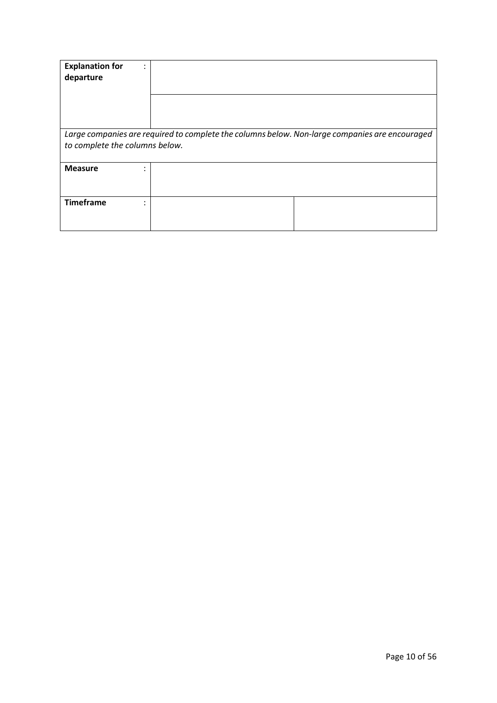| <b>Explanation for</b><br>٠<br>$\cdot$<br>departure                                                                              |  |  |
|----------------------------------------------------------------------------------------------------------------------------------|--|--|
|                                                                                                                                  |  |  |
| Large companies are required to complete the columns below. Non-large companies are encouraged<br>to complete the columns below. |  |  |
| <b>Measure</b><br>٠<br>$\cdot$                                                                                                   |  |  |
| <b>Timeframe</b><br>٠<br>٠                                                                                                       |  |  |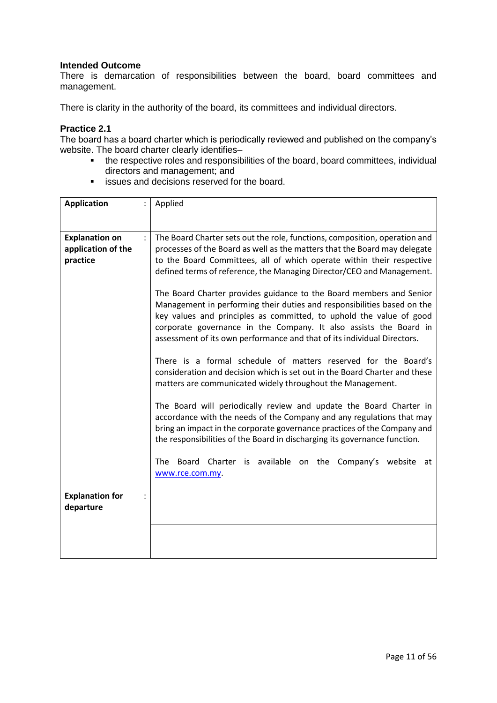There is demarcation of responsibilities between the board, board committees and management.

There is clarity in the authority of the board, its committees and individual directors.

#### **Practice 2.1**

The board has a board charter which is periodically reviewed and published on the company's website. The board charter clearly identifies–

- the respective roles and responsibilities of the board, board committees, individual directors and management; and
- **EXECUTE:** issues and decisions reserved for the board.

| <b>Application</b>                                      | Applied                                                                                                                                                                                                                                                                                                                                                                                                                                                                                                                                                                                                                                                                                                                                                                                                                                                                                                                                                                                                                                                                                                                                                                                                                          |  |
|---------------------------------------------------------|----------------------------------------------------------------------------------------------------------------------------------------------------------------------------------------------------------------------------------------------------------------------------------------------------------------------------------------------------------------------------------------------------------------------------------------------------------------------------------------------------------------------------------------------------------------------------------------------------------------------------------------------------------------------------------------------------------------------------------------------------------------------------------------------------------------------------------------------------------------------------------------------------------------------------------------------------------------------------------------------------------------------------------------------------------------------------------------------------------------------------------------------------------------------------------------------------------------------------------|--|
| <b>Explanation on</b><br>application of the<br>practice | The Board Charter sets out the role, functions, composition, operation and<br>$\ddot{\phantom{a}}$<br>processes of the Board as well as the matters that the Board may delegate<br>to the Board Committees, all of which operate within their respective<br>defined terms of reference, the Managing Director/CEO and Management.<br>The Board Charter provides guidance to the Board members and Senior<br>Management in performing their duties and responsibilities based on the<br>key values and principles as committed, to uphold the value of good<br>corporate governance in the Company. It also assists the Board in<br>assessment of its own performance and that of its individual Directors.<br>There is a formal schedule of matters reserved for the Board's<br>consideration and decision which is set out in the Board Charter and these<br>matters are communicated widely throughout the Management.<br>The Board will periodically review and update the Board Charter in<br>accordance with the needs of the Company and any regulations that may<br>bring an impact in the corporate governance practices of the Company and<br>the responsibilities of the Board in discharging its governance function. |  |
|                                                         |                                                                                                                                                                                                                                                                                                                                                                                                                                                                                                                                                                                                                                                                                                                                                                                                                                                                                                                                                                                                                                                                                                                                                                                                                                  |  |
|                                                         |                                                                                                                                                                                                                                                                                                                                                                                                                                                                                                                                                                                                                                                                                                                                                                                                                                                                                                                                                                                                                                                                                                                                                                                                                                  |  |
|                                                         |                                                                                                                                                                                                                                                                                                                                                                                                                                                                                                                                                                                                                                                                                                                                                                                                                                                                                                                                                                                                                                                                                                                                                                                                                                  |  |
|                                                         | The Board Charter is available on the Company's website<br>at<br>www.rce.com.my.                                                                                                                                                                                                                                                                                                                                                                                                                                                                                                                                                                                                                                                                                                                                                                                                                                                                                                                                                                                                                                                                                                                                                 |  |
| <b>Explanation for</b><br>$\ddot{\cdot}$<br>departure   |                                                                                                                                                                                                                                                                                                                                                                                                                                                                                                                                                                                                                                                                                                                                                                                                                                                                                                                                                                                                                                                                                                                                                                                                                                  |  |
|                                                         |                                                                                                                                                                                                                                                                                                                                                                                                                                                                                                                                                                                                                                                                                                                                                                                                                                                                                                                                                                                                                                                                                                                                                                                                                                  |  |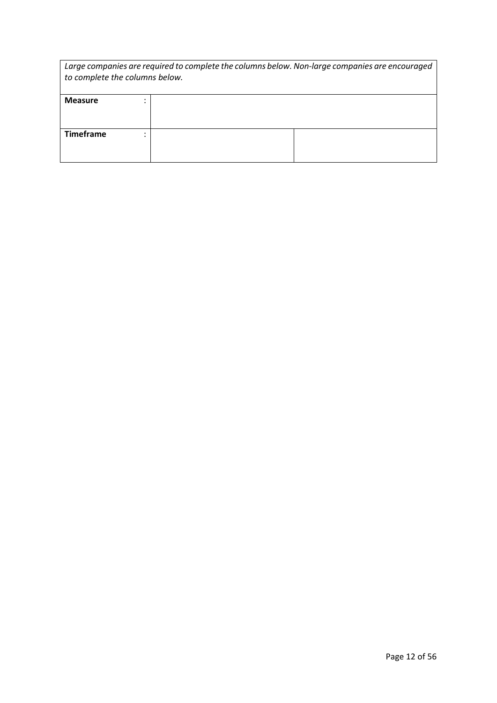| Large companies are required to complete the columns below. Non-large companies are encouraged<br>to complete the columns below. |  |  |
|----------------------------------------------------------------------------------------------------------------------------------|--|--|
| <b>Measure</b>                                                                                                                   |  |  |
| <b>Timeframe</b>                                                                                                                 |  |  |
|                                                                                                                                  |  |  |
|                                                                                                                                  |  |  |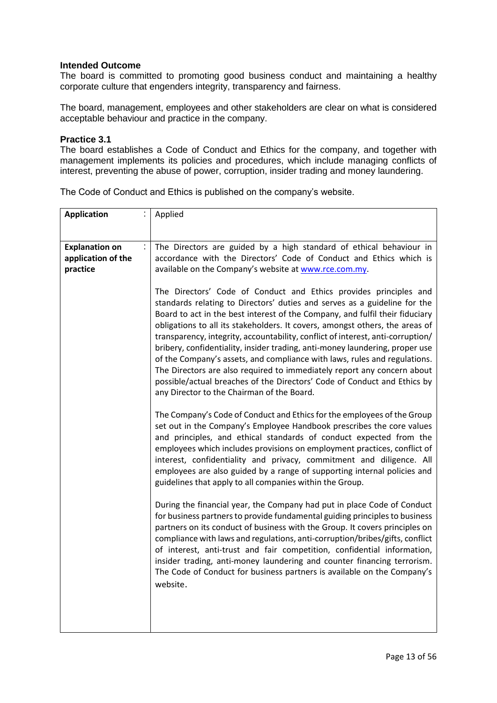The board is committed to promoting good business conduct and maintaining a healthy corporate culture that engenders integrity, transparency and fairness.

The board, management, employees and other stakeholders are clear on what is considered acceptable behaviour and practice in the company.

#### **Practice 3.1**

The board establishes a Code of Conduct and Ethics for the company, and together with management implements its policies and procedures, which include managing conflicts of interest, preventing the abuse of power, corruption, insider trading and money laundering.

| <b>Application</b>                                      | Applied                                                                                                                                                                                                                                                                                                                                                                                                                                                                                                                                                                                                                                                                                                               |  |
|---------------------------------------------------------|-----------------------------------------------------------------------------------------------------------------------------------------------------------------------------------------------------------------------------------------------------------------------------------------------------------------------------------------------------------------------------------------------------------------------------------------------------------------------------------------------------------------------------------------------------------------------------------------------------------------------------------------------------------------------------------------------------------------------|--|
| <b>Explanation on</b><br>application of the<br>practice | ÷<br>The Directors are guided by a high standard of ethical behaviour in<br>accordance with the Directors' Code of Conduct and Ethics which is<br>available on the Company's website at www.rce.com.my.                                                                                                                                                                                                                                                                                                                                                                                                                                                                                                               |  |
| any Director to the Chairman of the Board.              | The Directors' Code of Conduct and Ethics provides principles and<br>standards relating to Directors' duties and serves as a guideline for the<br>Board to act in the best interest of the Company, and fulfil their fiduciary<br>obligations to all its stakeholders. It covers, amongst others, the areas of<br>transparency, integrity, accountability, conflict of interest, anti-corruption/<br>bribery, confidentiality, insider trading, anti-money laundering, proper use<br>of the Company's assets, and compliance with laws, rules and regulations.<br>The Directors are also required to immediately report any concern about<br>possible/actual breaches of the Directors' Code of Conduct and Ethics by |  |
|                                                         | The Company's Code of Conduct and Ethics for the employees of the Group<br>set out in the Company's Employee Handbook prescribes the core values<br>and principles, and ethical standards of conduct expected from the<br>employees which includes provisions on employment practices, conflict of<br>interest, confidentiality and privacy, commitment and diligence. All<br>employees are also guided by a range of supporting internal policies and<br>guidelines that apply to all companies within the Group.                                                                                                                                                                                                    |  |
|                                                         | During the financial year, the Company had put in place Code of Conduct<br>for business partners to provide fundamental guiding principles to business<br>partners on its conduct of business with the Group. It covers principles on<br>compliance with laws and regulations, anti-corruption/bribes/gifts, conflict<br>of interest, anti-trust and fair competition, confidential information,<br>insider trading, anti-money laundering and counter financing terrorism.<br>The Code of Conduct for business partners is available on the Company's<br>website.                                                                                                                                                    |  |
|                                                         |                                                                                                                                                                                                                                                                                                                                                                                                                                                                                                                                                                                                                                                                                                                       |  |

The Code of Conduct and Ethics is published on the company's website.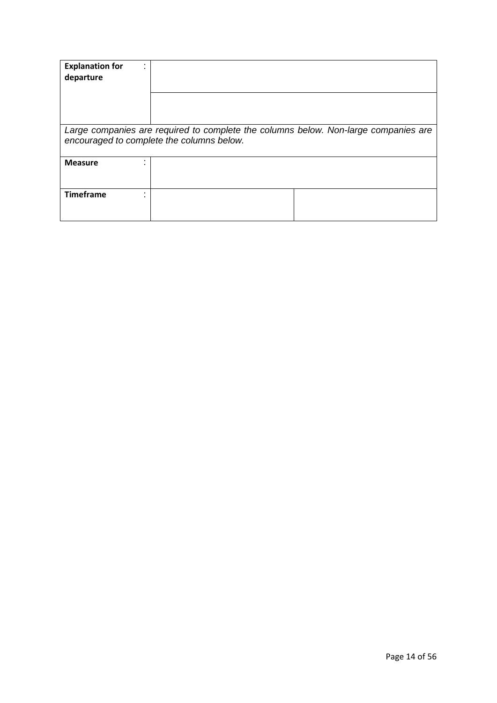| <b>Explanation for</b><br>departure                                                                                              |  |  |
|----------------------------------------------------------------------------------------------------------------------------------|--|--|
|                                                                                                                                  |  |  |
| Large companies are required to complete the columns below. Non-large companies are<br>encouraged to complete the columns below. |  |  |
| <b>Measure</b>                                                                                                                   |  |  |
| <b>Timeframe</b>                                                                                                                 |  |  |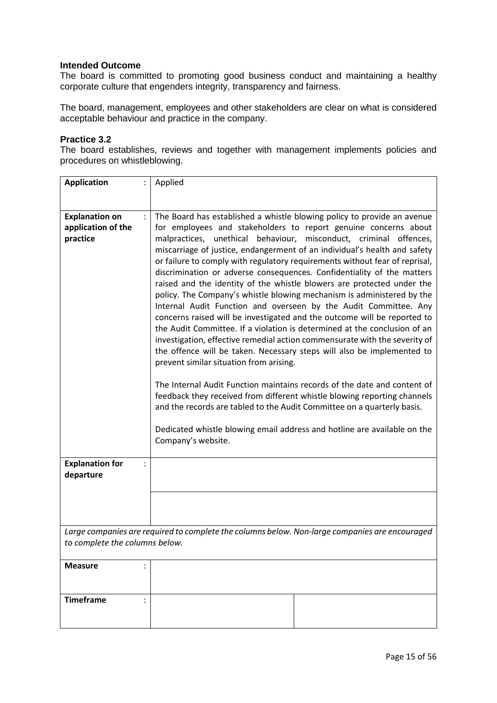The board is committed to promoting good business conduct and maintaining a healthy corporate culture that engenders integrity, transparency and fairness.

The board, management, employees and other stakeholders are clear on what is considered acceptable behaviour and practice in the company.

#### **Practice 3.2**

The board establishes, reviews and together with management implements policies and procedures on whistleblowing.

| <b>Application</b>                                                                             | Applied                                                                                                                                                                                                                                                                                                                                                                                                                                                                                                                                                                                                                                                                                                                                                                                                                                                                                                                                                                                                                                                                                                                                                                                                    |  |
|------------------------------------------------------------------------------------------------|------------------------------------------------------------------------------------------------------------------------------------------------------------------------------------------------------------------------------------------------------------------------------------------------------------------------------------------------------------------------------------------------------------------------------------------------------------------------------------------------------------------------------------------------------------------------------------------------------------------------------------------------------------------------------------------------------------------------------------------------------------------------------------------------------------------------------------------------------------------------------------------------------------------------------------------------------------------------------------------------------------------------------------------------------------------------------------------------------------------------------------------------------------------------------------------------------------|--|
|                                                                                                |                                                                                                                                                                                                                                                                                                                                                                                                                                                                                                                                                                                                                                                                                                                                                                                                                                                                                                                                                                                                                                                                                                                                                                                                            |  |
|                                                                                                |                                                                                                                                                                                                                                                                                                                                                                                                                                                                                                                                                                                                                                                                                                                                                                                                                                                                                                                                                                                                                                                                                                                                                                                                            |  |
| <b>Explanation on</b><br>application of the                                                    | The Board has established a whistle blowing policy to provide an avenue<br>for employees and stakeholders to report genuine concerns about                                                                                                                                                                                                                                                                                                                                                                                                                                                                                                                                                                                                                                                                                                                                                                                                                                                                                                                                                                                                                                                                 |  |
|                                                                                                |                                                                                                                                                                                                                                                                                                                                                                                                                                                                                                                                                                                                                                                                                                                                                                                                                                                                                                                                                                                                                                                                                                                                                                                                            |  |
| practice                                                                                       | malpractices, unethical behaviour, misconduct, criminal offences,<br>miscarriage of justice, endangerment of an individual's health and safety<br>or failure to comply with regulatory requirements without fear of reprisal,<br>discrimination or adverse consequences. Confidentiality of the matters<br>raised and the identity of the whistle blowers are protected under the<br>policy. The Company's whistle blowing mechanism is administered by the<br>Internal Audit Function and overseen by the Audit Committee. Any<br>concerns raised will be investigated and the outcome will be reported to<br>the Audit Committee. If a violation is determined at the conclusion of an<br>investigation, effective remedial action commensurate with the severity of<br>the offence will be taken. Necessary steps will also be implemented to<br>prevent similar situation from arising.<br>The Internal Audit Function maintains records of the date and content of<br>feedback they received from different whistle blowing reporting channels<br>and the records are tabled to the Audit Committee on a quarterly basis.<br>Dedicated whistle blowing email address and hotline are available on the |  |
|                                                                                                |                                                                                                                                                                                                                                                                                                                                                                                                                                                                                                                                                                                                                                                                                                                                                                                                                                                                                                                                                                                                                                                                                                                                                                                                            |  |
| <b>Explanation for</b><br>departure                                                            |                                                                                                                                                                                                                                                                                                                                                                                                                                                                                                                                                                                                                                                                                                                                                                                                                                                                                                                                                                                                                                                                                                                                                                                                            |  |
|                                                                                                |                                                                                                                                                                                                                                                                                                                                                                                                                                                                                                                                                                                                                                                                                                                                                                                                                                                                                                                                                                                                                                                                                                                                                                                                            |  |
| Large companies are required to complete the columns below. Non-large companies are encouraged |                                                                                                                                                                                                                                                                                                                                                                                                                                                                                                                                                                                                                                                                                                                                                                                                                                                                                                                                                                                                                                                                                                                                                                                                            |  |
| to complete the columns below.                                                                 |                                                                                                                                                                                                                                                                                                                                                                                                                                                                                                                                                                                                                                                                                                                                                                                                                                                                                                                                                                                                                                                                                                                                                                                                            |  |
| <b>Measure</b>                                                                                 |                                                                                                                                                                                                                                                                                                                                                                                                                                                                                                                                                                                                                                                                                                                                                                                                                                                                                                                                                                                                                                                                                                                                                                                                            |  |
|                                                                                                |                                                                                                                                                                                                                                                                                                                                                                                                                                                                                                                                                                                                                                                                                                                                                                                                                                                                                                                                                                                                                                                                                                                                                                                                            |  |
| <b>Timeframe</b>                                                                               |                                                                                                                                                                                                                                                                                                                                                                                                                                                                                                                                                                                                                                                                                                                                                                                                                                                                                                                                                                                                                                                                                                                                                                                                            |  |
|                                                                                                |                                                                                                                                                                                                                                                                                                                                                                                                                                                                                                                                                                                                                                                                                                                                                                                                                                                                                                                                                                                                                                                                                                                                                                                                            |  |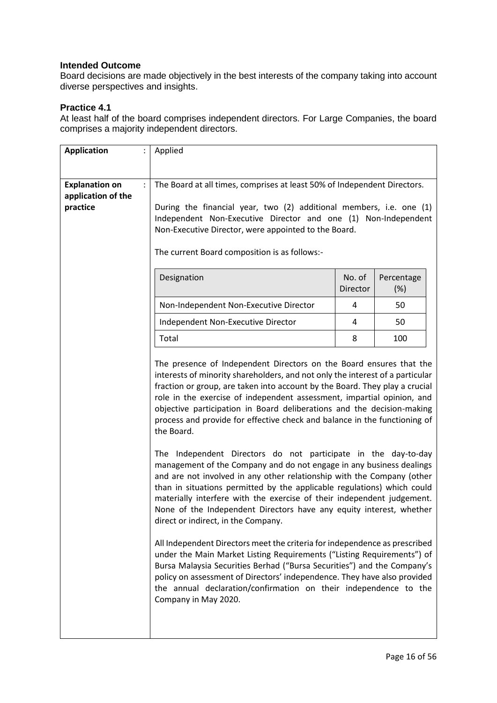Board decisions are made objectively in the best interests of the company taking into account diverse perspectives and insights.

# **Practice 4.1**

At least half of the board comprises independent directors. For Large Companies, the board comprises a majority independent directors.

| <b>Application</b>                                      | Applied                                                                                                                                                                                                                                                                                                                                                                                                                                                                                                                                                                                                                                                                                                                                                                                                                                                                                                                                                                   |                    |                   |
|---------------------------------------------------------|---------------------------------------------------------------------------------------------------------------------------------------------------------------------------------------------------------------------------------------------------------------------------------------------------------------------------------------------------------------------------------------------------------------------------------------------------------------------------------------------------------------------------------------------------------------------------------------------------------------------------------------------------------------------------------------------------------------------------------------------------------------------------------------------------------------------------------------------------------------------------------------------------------------------------------------------------------------------------|--------------------|-------------------|
| <b>Explanation on</b><br>application of the<br>practice | The Board at all times, comprises at least 50% of Independent Directors.<br>During the financial year, two (2) additional members, i.e. one (1)<br>Independent Non-Executive Director and one (1) Non-Independent<br>Non-Executive Director, were appointed to the Board.<br>The current Board composition is as follows:-                                                                                                                                                                                                                                                                                                                                                                                                                                                                                                                                                                                                                                                |                    |                   |
|                                                         | Designation                                                                                                                                                                                                                                                                                                                                                                                                                                                                                                                                                                                                                                                                                                                                                                                                                                                                                                                                                               | No. of<br>Director | Percentage<br>(%) |
|                                                         | Non-Independent Non-Executive Director                                                                                                                                                                                                                                                                                                                                                                                                                                                                                                                                                                                                                                                                                                                                                                                                                                                                                                                                    | 4                  | 50                |
|                                                         | Independent Non-Executive Director                                                                                                                                                                                                                                                                                                                                                                                                                                                                                                                                                                                                                                                                                                                                                                                                                                                                                                                                        | 4                  | 50                |
|                                                         | Total                                                                                                                                                                                                                                                                                                                                                                                                                                                                                                                                                                                                                                                                                                                                                                                                                                                                                                                                                                     | 8                  | 100               |
|                                                         | The presence of Independent Directors on the Board ensures that the<br>interests of minority shareholders, and not only the interest of a particular<br>fraction or group, are taken into account by the Board. They play a crucial<br>role in the exercise of independent assessment, impartial opinion, and<br>objective participation in Board deliberations and the decision-making<br>process and provide for effective check and balance in the functioning of<br>the Board.<br>The Independent Directors do not participate in the day-to-day<br>management of the Company and do not engage in any business dealings<br>and are not involved in any other relationship with the Company (other<br>than in situations permitted by the applicable regulations) which could<br>materially interfere with the exercise of their independent judgement.<br>None of the Independent Directors have any equity interest, whether<br>direct or indirect, in the Company. |                    |                   |
|                                                         | All Independent Directors meet the criteria for independence as prescribed<br>under the Main Market Listing Requirements ("Listing Requirements") of<br>Bursa Malaysia Securities Berhad ("Bursa Securities") and the Company's<br>policy on assessment of Directors' independence. They have also provided<br>the annual declaration/confirmation on their independence to the<br>Company in May 2020.                                                                                                                                                                                                                                                                                                                                                                                                                                                                                                                                                                   |                    |                   |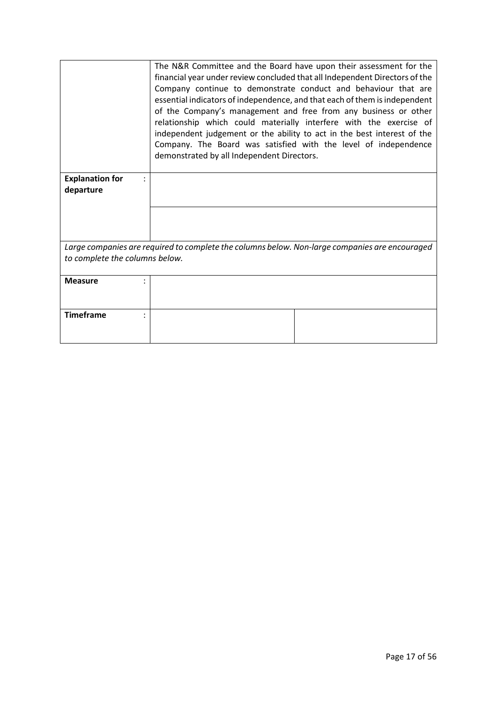|                                | The N&R Committee and the Board have upon their assessment for the<br>financial year under review concluded that all Independent Directors of the<br>Company continue to demonstrate conduct and behaviour that are<br>essential indicators of independence, and that each of them is independent<br>of the Company's management and free from any business or other<br>relationship which could materially interfere with the exercise of<br>independent judgement or the ability to act in the best interest of the<br>Company. The Board was satisfied with the level of independence<br>demonstrated by all Independent Directors. |  |
|--------------------------------|----------------------------------------------------------------------------------------------------------------------------------------------------------------------------------------------------------------------------------------------------------------------------------------------------------------------------------------------------------------------------------------------------------------------------------------------------------------------------------------------------------------------------------------------------------------------------------------------------------------------------------------|--|
| <b>Explanation for</b>         |                                                                                                                                                                                                                                                                                                                                                                                                                                                                                                                                                                                                                                        |  |
| departure                      |                                                                                                                                                                                                                                                                                                                                                                                                                                                                                                                                                                                                                                        |  |
|                                |                                                                                                                                                                                                                                                                                                                                                                                                                                                                                                                                                                                                                                        |  |
|                                |                                                                                                                                                                                                                                                                                                                                                                                                                                                                                                                                                                                                                                        |  |
|                                |                                                                                                                                                                                                                                                                                                                                                                                                                                                                                                                                                                                                                                        |  |
|                                |                                                                                                                                                                                                                                                                                                                                                                                                                                                                                                                                                                                                                                        |  |
|                                | Large companies are required to complete the columns below. Non-large companies are encouraged                                                                                                                                                                                                                                                                                                                                                                                                                                                                                                                                         |  |
| to complete the columns below. |                                                                                                                                                                                                                                                                                                                                                                                                                                                                                                                                                                                                                                        |  |
|                                |                                                                                                                                                                                                                                                                                                                                                                                                                                                                                                                                                                                                                                        |  |
| <b>Measure</b><br>٠            |                                                                                                                                                                                                                                                                                                                                                                                                                                                                                                                                                                                                                                        |  |
|                                |                                                                                                                                                                                                                                                                                                                                                                                                                                                                                                                                                                                                                                        |  |
|                                |                                                                                                                                                                                                                                                                                                                                                                                                                                                                                                                                                                                                                                        |  |
| <b>Timeframe</b>               |                                                                                                                                                                                                                                                                                                                                                                                                                                                                                                                                                                                                                                        |  |
|                                |                                                                                                                                                                                                                                                                                                                                                                                                                                                                                                                                                                                                                                        |  |
|                                |                                                                                                                                                                                                                                                                                                                                                                                                                                                                                                                                                                                                                                        |  |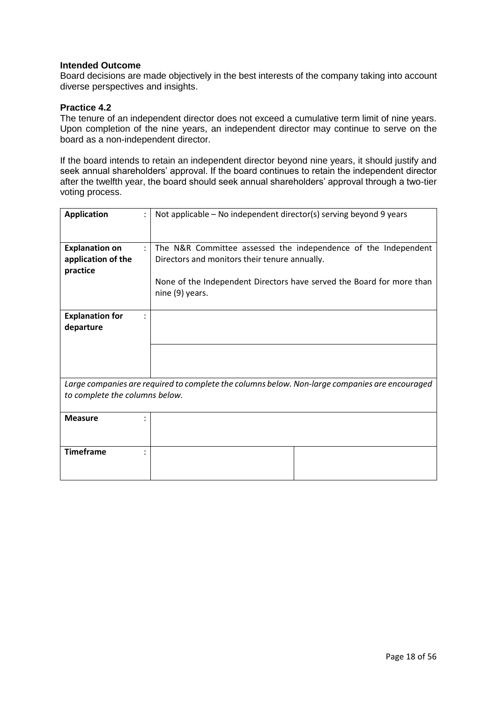Board decisions are made objectively in the best interests of the company taking into account diverse perspectives and insights.

### **Practice 4.2**

The tenure of an independent director does not exceed a cumulative term limit of nine years. Upon completion of the nine years, an independent director may continue to serve on the board as a non-independent director.

If the board intends to retain an independent director beyond nine years, it should justify and seek annual shareholders' approval. If the board continues to retain the independent director after the twelfth year, the board should seek annual shareholders' approval through a two-tier voting process.

| <b>Application</b>                                                                             | Not applicable – No independent director(s) serving beyond 9 years                       |  |
|------------------------------------------------------------------------------------------------|------------------------------------------------------------------------------------------|--|
| <b>Explanation on</b><br>÷                                                                     | The N&R Committee assessed the independence of the Independent                           |  |
| application of the                                                                             | Directors and monitors their tenure annually.                                            |  |
| practice                                                                                       |                                                                                          |  |
|                                                                                                | None of the Independent Directors have served the Board for more than<br>nine (9) years. |  |
|                                                                                                |                                                                                          |  |
| <b>Explanation for</b>                                                                         |                                                                                          |  |
| departure                                                                                      |                                                                                          |  |
|                                                                                                |                                                                                          |  |
|                                                                                                |                                                                                          |  |
|                                                                                                |                                                                                          |  |
| Large companies are required to complete the columns below. Non-large companies are encouraged |                                                                                          |  |
| to complete the columns below.                                                                 |                                                                                          |  |
| <b>Measure</b>                                                                                 |                                                                                          |  |
|                                                                                                |                                                                                          |  |
|                                                                                                |                                                                                          |  |
| <b>Timeframe</b>                                                                               |                                                                                          |  |
|                                                                                                |                                                                                          |  |
|                                                                                                |                                                                                          |  |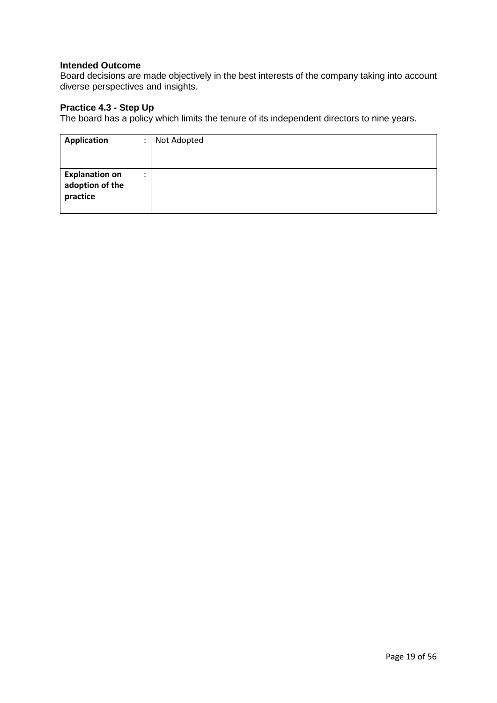Board decisions are made objectively in the best interests of the company taking into account diverse perspectives and insights.

# **Practice 4.3 - Step Up**

The board has a policy which limits the tenure of its independent directors to nine years.

| <b>Application</b>                                   | ٠ | Not Adopted |
|------------------------------------------------------|---|-------------|
| <b>Explanation on</b><br>adoption of the<br>practice | ٠ |             |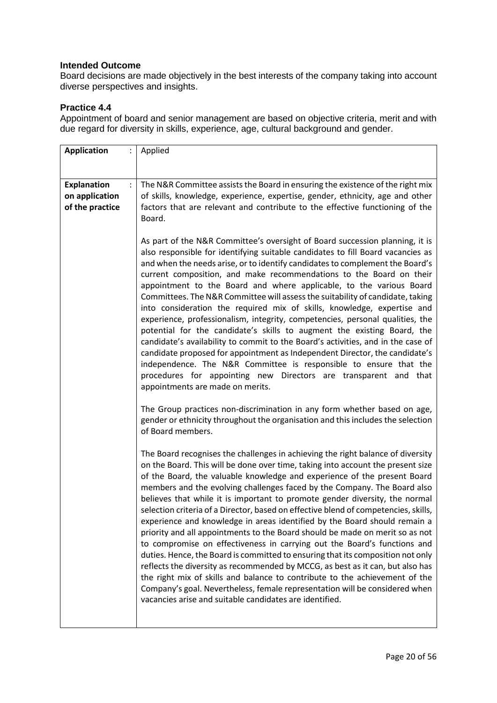Board decisions are made objectively in the best interests of the company taking into account diverse perspectives and insights.

# **Practice 4.4**

Appointment of board and senior management are based on objective criteria, merit and with due regard for diversity in skills, experience, age, cultural background and gender.

| <b>Application</b><br>$\ddot{\cdot}$                                      | Applied                                                                                                                                                                                                                                                                                                                                                                                                                                                                                                                                                                                                                                                                                                                                                                                                                                                                                                                                                                                                                                                                                                                                 |
|---------------------------------------------------------------------------|-----------------------------------------------------------------------------------------------------------------------------------------------------------------------------------------------------------------------------------------------------------------------------------------------------------------------------------------------------------------------------------------------------------------------------------------------------------------------------------------------------------------------------------------------------------------------------------------------------------------------------------------------------------------------------------------------------------------------------------------------------------------------------------------------------------------------------------------------------------------------------------------------------------------------------------------------------------------------------------------------------------------------------------------------------------------------------------------------------------------------------------------|
|                                                                           |                                                                                                                                                                                                                                                                                                                                                                                                                                                                                                                                                                                                                                                                                                                                                                                                                                                                                                                                                                                                                                                                                                                                         |
| <b>Explanation</b><br>$\ddot{\cdot}$<br>on application<br>of the practice | The N&R Committee assists the Board in ensuring the existence of the right mix<br>of skills, knowledge, experience, expertise, gender, ethnicity, age and other<br>factors that are relevant and contribute to the effective functioning of the<br>Board.                                                                                                                                                                                                                                                                                                                                                                                                                                                                                                                                                                                                                                                                                                                                                                                                                                                                               |
|                                                                           | As part of the N&R Committee's oversight of Board succession planning, it is<br>also responsible for identifying suitable candidates to fill Board vacancies as<br>and when the needs arise, or to identify candidates to complement the Board's<br>current composition, and make recommendations to the Board on their<br>appointment to the Board and where applicable, to the various Board<br>Committees. The N&R Committee will assess the suitability of candidate, taking<br>into consideration the required mix of skills, knowledge, expertise and<br>experience, professionalism, integrity, competencies, personal qualities, the<br>potential for the candidate's skills to augment the existing Board, the<br>candidate's availability to commit to the Board's activities, and in the case of<br>candidate proposed for appointment as Independent Director, the candidate's<br>independence. The N&R Committee is responsible to ensure that the<br>procedures for appointing new Directors are transparent and that<br>appointments are made on merits.                                                                 |
|                                                                           | The Group practices non-discrimination in any form whether based on age,<br>gender or ethnicity throughout the organisation and this includes the selection<br>of Board members.                                                                                                                                                                                                                                                                                                                                                                                                                                                                                                                                                                                                                                                                                                                                                                                                                                                                                                                                                        |
|                                                                           | The Board recognises the challenges in achieving the right balance of diversity<br>on the Board. This will be done over time, taking into account the present size<br>of the Board, the valuable knowledge and experience of the present Board<br>members and the evolving challenges faced by the Company. The Board also<br>believes that while it is important to promote gender diversity, the normal<br>selection criteria of a Director, based on effective blend of competencies, skills,<br>experience and knowledge in areas identified by the Board should remain a<br>priority and all appointments to the Board should be made on merit so as not<br>to compromise on effectiveness in carrying out the Board's functions and<br>duties. Hence, the Board is committed to ensuring that its composition not only<br>reflects the diversity as recommended by MCCG, as best as it can, but also has<br>the right mix of skills and balance to contribute to the achievement of the<br>Company's goal. Nevertheless, female representation will be considered when<br>vacancies arise and suitable candidates are identified. |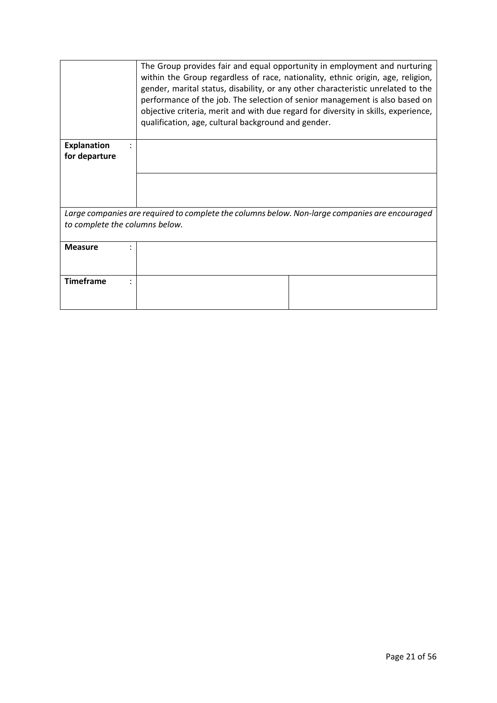|                    | The Group provides fair and equal opportunity in employment and nurturing<br>within the Group regardless of race, nationality, ethnic origin, age, religion,<br>gender, marital status, disability, or any other characteristic unrelated to the<br>performance of the job. The selection of senior management is also based on<br>objective criteria, merit and with due regard for diversity in skills, experience,<br>qualification, age, cultural background and gender. |  |  |
|--------------------|------------------------------------------------------------------------------------------------------------------------------------------------------------------------------------------------------------------------------------------------------------------------------------------------------------------------------------------------------------------------------------------------------------------------------------------------------------------------------|--|--|
| <b>Explanation</b> |                                                                                                                                                                                                                                                                                                                                                                                                                                                                              |  |  |
| for departure      |                                                                                                                                                                                                                                                                                                                                                                                                                                                                              |  |  |
|                    |                                                                                                                                                                                                                                                                                                                                                                                                                                                                              |  |  |
|                    |                                                                                                                                                                                                                                                                                                                                                                                                                                                                              |  |  |
|                    |                                                                                                                                                                                                                                                                                                                                                                                                                                                                              |  |  |
|                    |                                                                                                                                                                                                                                                                                                                                                                                                                                                                              |  |  |
|                    | Large companies are required to complete the columns below. Non-large companies are encouraged                                                                                                                                                                                                                                                                                                                                                                               |  |  |
|                    | to complete the columns below.                                                                                                                                                                                                                                                                                                                                                                                                                                               |  |  |
|                    |                                                                                                                                                                                                                                                                                                                                                                                                                                                                              |  |  |
| <b>Measure</b>     |                                                                                                                                                                                                                                                                                                                                                                                                                                                                              |  |  |
|                    |                                                                                                                                                                                                                                                                                                                                                                                                                                                                              |  |  |
|                    |                                                                                                                                                                                                                                                                                                                                                                                                                                                                              |  |  |
| <b>Timeframe</b>   |                                                                                                                                                                                                                                                                                                                                                                                                                                                                              |  |  |
|                    |                                                                                                                                                                                                                                                                                                                                                                                                                                                                              |  |  |
|                    |                                                                                                                                                                                                                                                                                                                                                                                                                                                                              |  |  |
|                    |                                                                                                                                                                                                                                                                                                                                                                                                                                                                              |  |  |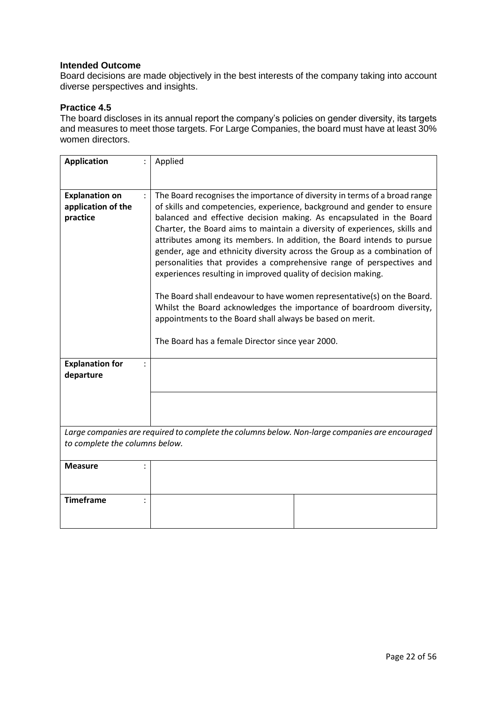Board decisions are made objectively in the best interests of the company taking into account diverse perspectives and insights.

### **Practice 4.5**

The board discloses in its annual report the company's policies on gender diversity, its targets and measures to meet those targets. For Large Companies, the board must have at least 30% women directors.

| <b>Application</b>                                                                                                               | Applied                                                                                                                                                                                                                                                                                                                                                                                                                                                                                                                                                                                                                                                                                                                                                                                                                                                                         |  |
|----------------------------------------------------------------------------------------------------------------------------------|---------------------------------------------------------------------------------------------------------------------------------------------------------------------------------------------------------------------------------------------------------------------------------------------------------------------------------------------------------------------------------------------------------------------------------------------------------------------------------------------------------------------------------------------------------------------------------------------------------------------------------------------------------------------------------------------------------------------------------------------------------------------------------------------------------------------------------------------------------------------------------|--|
| <b>Explanation on</b><br>application of the<br>practice<br><b>Explanation for</b><br>$\ddot{\cdot}$<br>departure                 | The Board recognises the importance of diversity in terms of a broad range<br>of skills and competencies, experience, background and gender to ensure<br>balanced and effective decision making. As encapsulated in the Board<br>Charter, the Board aims to maintain a diversity of experiences, skills and<br>attributes among its members. In addition, the Board intends to pursue<br>gender, age and ethnicity diversity across the Group as a combination of<br>personalities that provides a comprehensive range of perspectives and<br>experiences resulting in improved quality of decision making.<br>The Board shall endeavour to have women representative(s) on the Board.<br>Whilst the Board acknowledges the importance of boardroom diversity,<br>appointments to the Board shall always be based on merit.<br>The Board has a female Director since year 2000. |  |
|                                                                                                                                  |                                                                                                                                                                                                                                                                                                                                                                                                                                                                                                                                                                                                                                                                                                                                                                                                                                                                                 |  |
| Large companies are required to complete the columns below. Non-large companies are encouraged<br>to complete the columns below. |                                                                                                                                                                                                                                                                                                                                                                                                                                                                                                                                                                                                                                                                                                                                                                                                                                                                                 |  |
| <b>Measure</b>                                                                                                                   |                                                                                                                                                                                                                                                                                                                                                                                                                                                                                                                                                                                                                                                                                                                                                                                                                                                                                 |  |
| <b>Timeframe</b>                                                                                                                 |                                                                                                                                                                                                                                                                                                                                                                                                                                                                                                                                                                                                                                                                                                                                                                                                                                                                                 |  |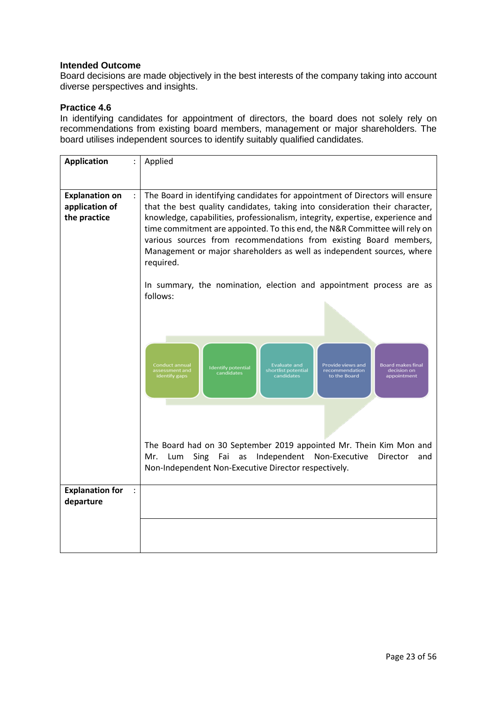Board decisions are made objectively in the best interests of the company taking into account diverse perspectives and insights.

# **Practice 4.6**

In identifying candidates for appointment of directors, the board does not solely rely on recommendations from existing board members, management or major shareholders. The board utilises independent sources to identify suitably qualified candidates.

| <b>Application</b>                                           | Applied                                                                                                                                                                                                                                                                                                                                                                                                                                                                                  |
|--------------------------------------------------------------|------------------------------------------------------------------------------------------------------------------------------------------------------------------------------------------------------------------------------------------------------------------------------------------------------------------------------------------------------------------------------------------------------------------------------------------------------------------------------------------|
| ÷<br><b>Explanation on</b><br>application of<br>the practice | The Board in identifying candidates for appointment of Directors will ensure<br>that the best quality candidates, taking into consideration their character,<br>knowledge, capabilities, professionalism, integrity, expertise, experience and<br>time commitment are appointed. To this end, the N&R Committee will rely on<br>various sources from recommendations from existing Board members,<br>Management or major shareholders as well as independent sources, where<br>required. |
|                                                              | In summary, the nomination, election and appointment process are as<br>follows:                                                                                                                                                                                                                                                                                                                                                                                                          |
|                                                              | Conduct annual<br><b>Evaluate and</b><br>Provide views and<br><b>Board makes final</b><br><b>Identify potential</b><br>assessment and<br>shortlist potential<br>recommendation<br>decision on<br>candidates<br>identify gaps<br>candidates<br>to the Board<br>appointment                                                                                                                                                                                                                |
|                                                              | The Board had on 30 September 2019 appointed Mr. Thein Kim Mon and<br>Sing Fai as Independent Non-Executive<br>Mr.<br>Lum<br>Director<br>and<br>Non-Independent Non-Executive Director respectively.                                                                                                                                                                                                                                                                                     |
| <b>Explanation for</b><br>departure                          |                                                                                                                                                                                                                                                                                                                                                                                                                                                                                          |
|                                                              |                                                                                                                                                                                                                                                                                                                                                                                                                                                                                          |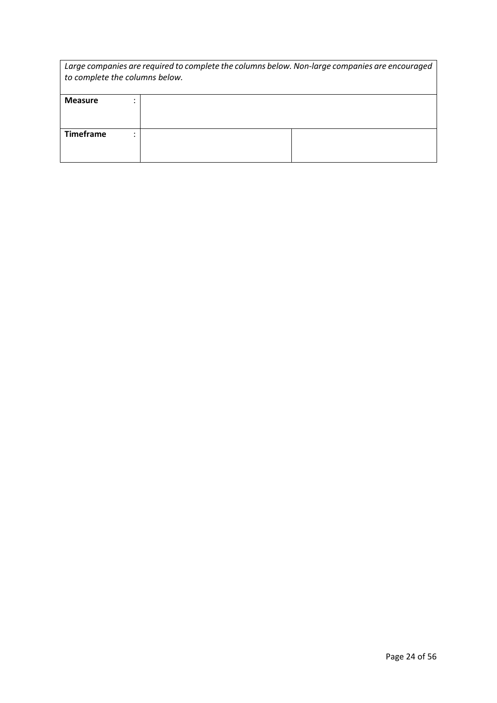| Large companies are required to complete the columns below. Non-large companies are encouraged<br>to complete the columns below. |  |  |
|----------------------------------------------------------------------------------------------------------------------------------|--|--|
| <b>Measure</b>                                                                                                                   |  |  |
| <b>Timeframe</b>                                                                                                                 |  |  |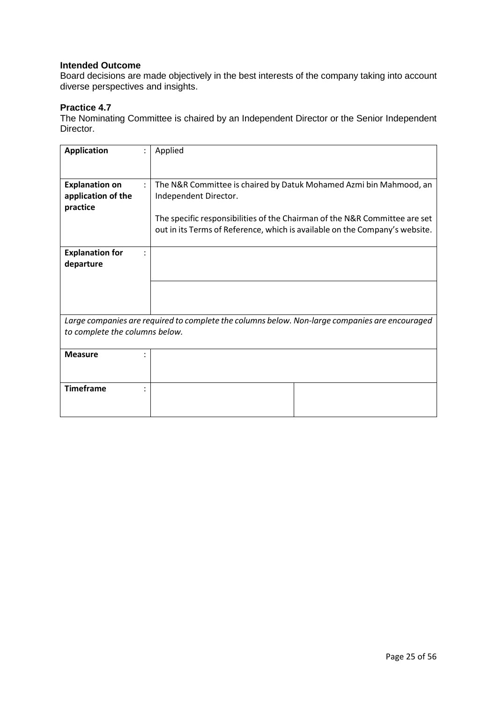Board decisions are made objectively in the best interests of the company taking into account diverse perspectives and insights.

# **Practice 4.7**

The Nominating Committee is chaired by an Independent Director or the Senior Independent Director.

| <b>Application</b>                                                                                                               | Applied                                                                                                                                                                                                                                                  |  |
|----------------------------------------------------------------------------------------------------------------------------------|----------------------------------------------------------------------------------------------------------------------------------------------------------------------------------------------------------------------------------------------------------|--|
| <b>Explanation on</b><br>application of the<br>practice                                                                          | The N&R Committee is chaired by Datuk Mohamed Azmi bin Mahmood, an<br>Independent Director.<br>The specific responsibilities of the Chairman of the N&R Committee are set<br>out in its Terms of Reference, which is available on the Company's website. |  |
| <b>Explanation for</b><br>departure                                                                                              |                                                                                                                                                                                                                                                          |  |
|                                                                                                                                  |                                                                                                                                                                                                                                                          |  |
| Large companies are required to complete the columns below. Non-large companies are encouraged<br>to complete the columns below. |                                                                                                                                                                                                                                                          |  |
| <b>Measure</b>                                                                                                                   |                                                                                                                                                                                                                                                          |  |
| <b>Timeframe</b>                                                                                                                 |                                                                                                                                                                                                                                                          |  |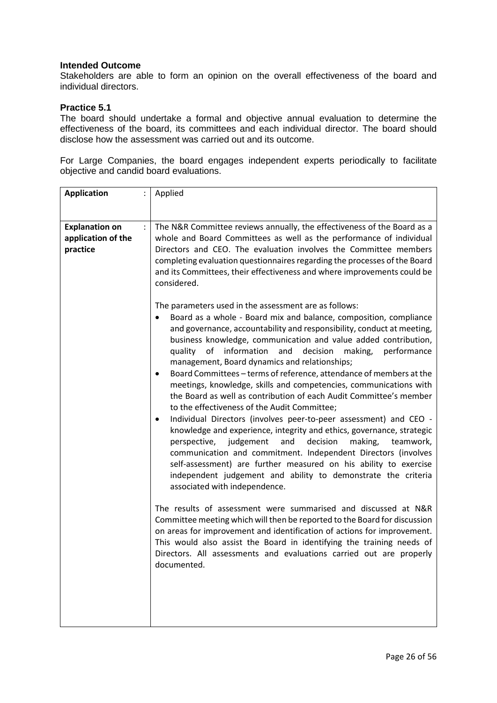Stakeholders are able to form an opinion on the overall effectiveness of the board and individual directors.

### **Practice 5.1**

The board should undertake a formal and objective annual evaluation to determine the effectiveness of the board, its committees and each individual director. The board should disclose how the assessment was carried out and its outcome.

For Large Companies, the board engages independent experts periodically to facilitate objective and candid board evaluations.

| <b>Application</b>                                      | Applied<br>$\ddot{\cdot}$                                                                                                                                                                                                                                                                                                                                                                                                                                                                                                                                                                                                                                                                                                                                                                                                 |
|---------------------------------------------------------|---------------------------------------------------------------------------------------------------------------------------------------------------------------------------------------------------------------------------------------------------------------------------------------------------------------------------------------------------------------------------------------------------------------------------------------------------------------------------------------------------------------------------------------------------------------------------------------------------------------------------------------------------------------------------------------------------------------------------------------------------------------------------------------------------------------------------|
| <b>Explanation on</b><br>application of the<br>practice | The N&R Committee reviews annually, the effectiveness of the Board as a<br>whole and Board Committees as well as the performance of individual<br>Directors and CEO. The evaluation involves the Committee members<br>completing evaluation questionnaires regarding the processes of the Board<br>and its Committees, their effectiveness and where improvements could be<br>considered.<br>The parameters used in the assessment are as follows:                                                                                                                                                                                                                                                                                                                                                                        |
|                                                         | Board as a whole - Board mix and balance, composition, compliance<br>and governance, accountability and responsibility, conduct at meeting,<br>business knowledge, communication and value added contribution,<br>quality of information and decision making, performance<br>management, Board dynamics and relationships;<br>Board Committees - terms of reference, attendance of members at the<br>٠<br>meetings, knowledge, skills and competencies, communications with<br>the Board as well as contribution of each Audit Committee's member<br>to the effectiveness of the Audit Committee;<br>Individual Directors (involves peer-to-peer assessment) and CEO -<br>٠<br>knowledge and experience, integrity and ethics, governance, strategic<br>perspective, judgement<br>and<br>decision<br>making,<br>teamwork, |
|                                                         | communication and commitment. Independent Directors (involves<br>self-assessment) are further measured on his ability to exercise<br>independent judgement and ability to demonstrate the criteria<br>associated with independence.                                                                                                                                                                                                                                                                                                                                                                                                                                                                                                                                                                                       |
|                                                         | The results of assessment were summarised and discussed at N&R<br>Committee meeting which will then be reported to the Board for discussion<br>on areas for improvement and identification of actions for improvement.<br>This would also assist the Board in identifying the training needs of<br>Directors. All assessments and evaluations carried out are properly<br>documented.                                                                                                                                                                                                                                                                                                                                                                                                                                     |
|                                                         |                                                                                                                                                                                                                                                                                                                                                                                                                                                                                                                                                                                                                                                                                                                                                                                                                           |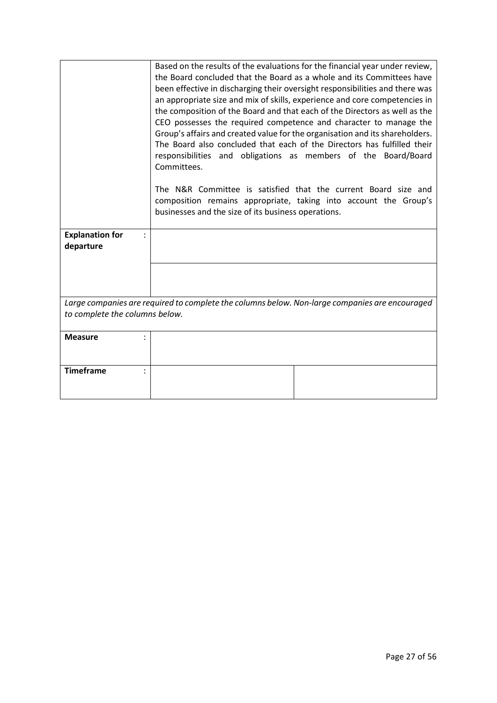|                                     | Based on the results of the evaluations for the financial year under review,<br>the Board concluded that the Board as a whole and its Committees have<br>been effective in discharging their oversight responsibilities and there was<br>an appropriate size and mix of skills, experience and core competencies in<br>the composition of the Board and that each of the Directors as well as the<br>CEO possesses the required competence and character to manage the<br>Group's affairs and created value for the organisation and its shareholders.<br>The Board also concluded that each of the Directors has fulfilled their<br>responsibilities and obligations as members of the Board/Board<br>Committees.<br>The N&R Committee is satisfied that the current Board size and<br>composition remains appropriate, taking into account the Group's<br>businesses and the size of its business operations. |
|-------------------------------------|-----------------------------------------------------------------------------------------------------------------------------------------------------------------------------------------------------------------------------------------------------------------------------------------------------------------------------------------------------------------------------------------------------------------------------------------------------------------------------------------------------------------------------------------------------------------------------------------------------------------------------------------------------------------------------------------------------------------------------------------------------------------------------------------------------------------------------------------------------------------------------------------------------------------|
| <b>Explanation for</b><br>departure |                                                                                                                                                                                                                                                                                                                                                                                                                                                                                                                                                                                                                                                                                                                                                                                                                                                                                                                 |
|                                     |                                                                                                                                                                                                                                                                                                                                                                                                                                                                                                                                                                                                                                                                                                                                                                                                                                                                                                                 |
|                                     |                                                                                                                                                                                                                                                                                                                                                                                                                                                                                                                                                                                                                                                                                                                                                                                                                                                                                                                 |
|                                     |                                                                                                                                                                                                                                                                                                                                                                                                                                                                                                                                                                                                                                                                                                                                                                                                                                                                                                                 |
|                                     | Large companies are required to complete the columns below. Non-large companies are encouraged                                                                                                                                                                                                                                                                                                                                                                                                                                                                                                                                                                                                                                                                                                                                                                                                                  |
| to complete the columns below.      |                                                                                                                                                                                                                                                                                                                                                                                                                                                                                                                                                                                                                                                                                                                                                                                                                                                                                                                 |
| <b>Measure</b>                      |                                                                                                                                                                                                                                                                                                                                                                                                                                                                                                                                                                                                                                                                                                                                                                                                                                                                                                                 |
|                                     |                                                                                                                                                                                                                                                                                                                                                                                                                                                                                                                                                                                                                                                                                                                                                                                                                                                                                                                 |
| <b>Timeframe</b>                    |                                                                                                                                                                                                                                                                                                                                                                                                                                                                                                                                                                                                                                                                                                                                                                                                                                                                                                                 |
|                                     |                                                                                                                                                                                                                                                                                                                                                                                                                                                                                                                                                                                                                                                                                                                                                                                                                                                                                                                 |
|                                     |                                                                                                                                                                                                                                                                                                                                                                                                                                                                                                                                                                                                                                                                                                                                                                                                                                                                                                                 |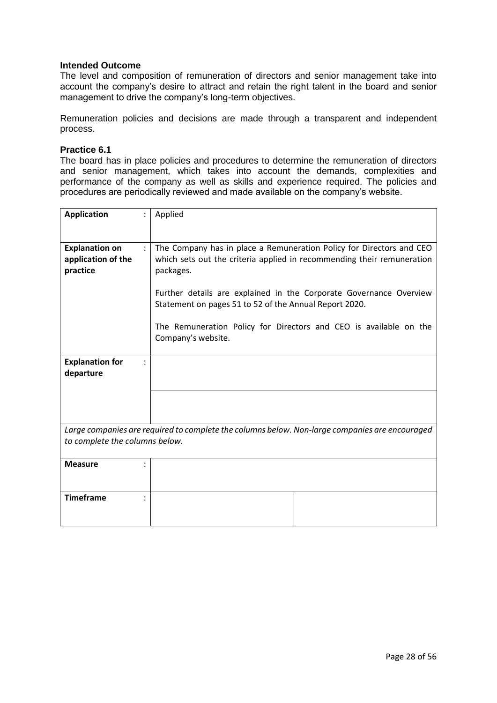The level and composition of remuneration of directors and senior management take into account the company's desire to attract and retain the right talent in the board and senior management to drive the company's long-term objectives.

Remuneration policies and decisions are made through a transparent and independent process.

#### **Practice 6.1**

The board has in place policies and procedures to determine the remuneration of directors and senior management, which takes into account the demands, complexities and performance of the company as well as skills and experience required. The policies and procedures are periodically reviewed and made available on the company's website.

| <b>Application</b>                                            | Applied                                                                                                                                        |
|---------------------------------------------------------------|------------------------------------------------------------------------------------------------------------------------------------------------|
|                                                               |                                                                                                                                                |
|                                                               |                                                                                                                                                |
| <b>Explanation on</b><br>$\ddot{\cdot}$<br>application of the | The Company has in place a Remuneration Policy for Directors and CEO<br>which sets out the criteria applied in recommending their remuneration |
| practice                                                      | packages.                                                                                                                                      |
|                                                               |                                                                                                                                                |
|                                                               | Further details are explained in the Corporate Governance Overview                                                                             |
|                                                               | Statement on pages 51 to 52 of the Annual Report 2020.                                                                                         |
|                                                               | The Remuneration Policy for Directors and CEO is available on the                                                                              |
|                                                               | Company's website.                                                                                                                             |
|                                                               |                                                                                                                                                |
| <b>Explanation for</b>                                        |                                                                                                                                                |
| departure                                                     |                                                                                                                                                |
|                                                               |                                                                                                                                                |
|                                                               |                                                                                                                                                |
|                                                               |                                                                                                                                                |
|                                                               | Large companies are required to complete the columns below. Non-large companies are encouraged                                                 |
| to complete the columns below.                                |                                                                                                                                                |
|                                                               |                                                                                                                                                |
| <b>Measure</b>                                                |                                                                                                                                                |
|                                                               |                                                                                                                                                |
|                                                               |                                                                                                                                                |
| <b>Timeframe</b>                                              |                                                                                                                                                |
|                                                               |                                                                                                                                                |
|                                                               |                                                                                                                                                |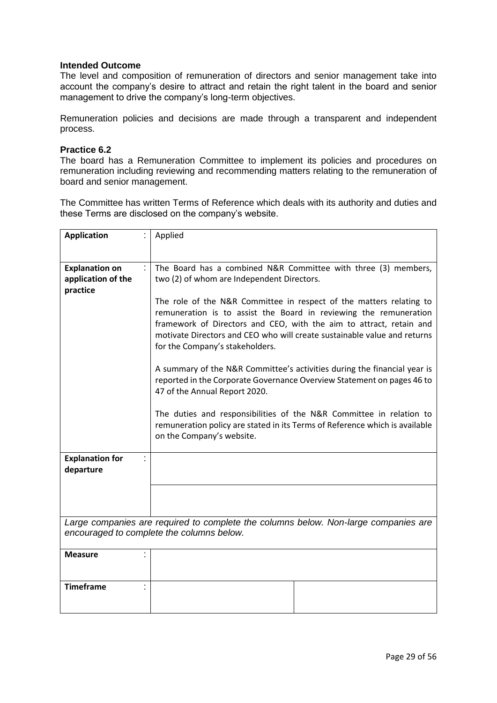The level and composition of remuneration of directors and senior management take into account the company's desire to attract and retain the right talent in the board and senior management to drive the company's long-term objectives.

Remuneration policies and decisions are made through a transparent and independent process.

#### **Practice 6.2**

The board has a Remuneration Committee to implement its policies and procedures on remuneration including reviewing and recommending matters relating to the remuneration of board and senior management.

The Committee has written Terms of Reference which deals with its authority and duties and these Terms are disclosed on the company's website.

| <b>Application</b>                                            | Applied                                                                                                                                                                                                                                                                                                                        |  |  |
|---------------------------------------------------------------|--------------------------------------------------------------------------------------------------------------------------------------------------------------------------------------------------------------------------------------------------------------------------------------------------------------------------------|--|--|
|                                                               |                                                                                                                                                                                                                                                                                                                                |  |  |
| <b>Explanation on</b><br>÷.<br>application of the<br>practice | The Board has a combined N&R Committee with three (3) members,<br>two (2) of whom are Independent Directors.                                                                                                                                                                                                                   |  |  |
|                                                               | The role of the N&R Committee in respect of the matters relating to<br>remuneration is to assist the Board in reviewing the remuneration<br>framework of Directors and CEO, with the aim to attract, retain and<br>motivate Directors and CEO who will create sustainable value and returns<br>for the Company's stakeholders. |  |  |
|                                                               | A summary of the N&R Committee's activities during the financial year is<br>reported in the Corporate Governance Overview Statement on pages 46 to<br>47 of the Annual Report 2020.                                                                                                                                            |  |  |
|                                                               | The duties and responsibilities of the N&R Committee in relation to<br>remuneration policy are stated in its Terms of Reference which is available<br>on the Company's website.                                                                                                                                                |  |  |
| <b>Explanation for</b><br>÷<br>departure                      |                                                                                                                                                                                                                                                                                                                                |  |  |
|                                                               |                                                                                                                                                                                                                                                                                                                                |  |  |
|                                                               | Large companies are required to complete the columns below. Non-large companies are<br>encouraged to complete the columns below.                                                                                                                                                                                               |  |  |
| <b>Measure</b>                                                |                                                                                                                                                                                                                                                                                                                                |  |  |
| <b>Timeframe</b>                                              |                                                                                                                                                                                                                                                                                                                                |  |  |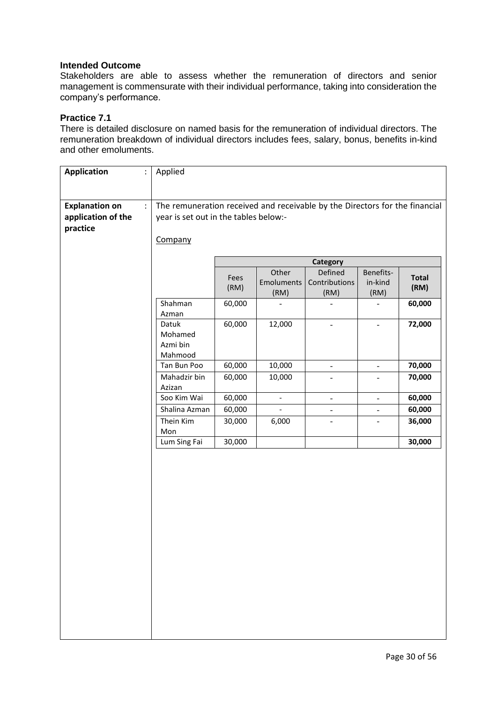Stakeholders are able to assess whether the remuneration of directors and senior management is commensurate with their individual performance, taking into consideration the company's performance.

#### **Practice 7.1**

There is detailed disclosure on named basis for the remuneration of individual directors. The remuneration breakdown of individual directors includes fees, salary, bonus, benefits in-kind and other emoluments.

| <b>Application</b>                                      | $\ddot{\cdot}$ | Applied                                                                                                                         |              |                             |                                  |                              |                      |
|---------------------------------------------------------|----------------|---------------------------------------------------------------------------------------------------------------------------------|--------------|-----------------------------|----------------------------------|------------------------------|----------------------|
| <b>Explanation on</b><br>application of the<br>practice | $\ddot{\cdot}$ | The remuneration received and receivable by the Directors for the financial<br>year is set out in the tables below:-<br>Company |              |                             |                                  |                              |                      |
|                                                         |                |                                                                                                                                 |              |                             | Category                         |                              |                      |
|                                                         |                |                                                                                                                                 | Fees<br>(RM) | Other<br>Emoluments<br>(RM) | Defined<br>Contributions<br>(RM) | Benefits-<br>in-kind<br>(RM) | <b>Total</b><br>(RM) |
|                                                         |                | Shahman<br>Azman                                                                                                                | 60,000       |                             |                                  |                              | 60,000               |
|                                                         |                | Datuk<br>Mohamed<br>Azmi bin<br>Mahmood                                                                                         | 60,000       | 12,000                      | $\qquad \qquad -$                |                              | 72,000               |
|                                                         |                | Tan Bun Poo                                                                                                                     | 60,000       | 10,000                      | $\qquad \qquad -$                | $\overline{\phantom{a}}$     | 70,000               |
|                                                         |                | Mahadzir bin<br>Azizan                                                                                                          | 60,000       | 10,000                      | $\qquad \qquad -$                | $\overline{\phantom{a}}$     | 70,000               |
|                                                         |                | Soo Kim Wai                                                                                                                     | 60,000       | $\overline{\phantom{a}}$    | $\qquad \qquad \blacksquare$     | $\overline{\phantom{0}}$     | 60,000               |
|                                                         |                | Shalina Azman                                                                                                                   | 60,000       |                             | $\overline{a}$                   |                              | 60,000               |
|                                                         |                | Thein Kim<br>Mon                                                                                                                | 30,000       | 6,000                       | $\qquad \qquad -$                |                              | 36,000               |
|                                                         |                | Lum Sing Fai                                                                                                                    | 30,000       |                             |                                  |                              | 30,000               |
|                                                         |                |                                                                                                                                 |              |                             |                                  |                              |                      |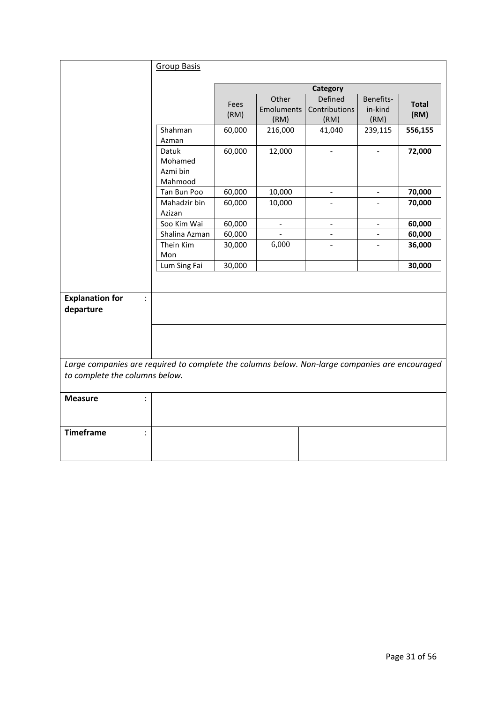|                                                                                                                                  | <b>Group Basis</b>                      |              |                             |                                  |                              |                      |
|----------------------------------------------------------------------------------------------------------------------------------|-----------------------------------------|--------------|-----------------------------|----------------------------------|------------------------------|----------------------|
|                                                                                                                                  |                                         |              |                             | Category                         |                              |                      |
|                                                                                                                                  |                                         | Fees<br>(RM) | Other<br>Emoluments<br>(RM) | Defined<br>Contributions<br>(RM) | Benefits-<br>in-kind<br>(RM) | <b>Total</b><br>(RM) |
|                                                                                                                                  | Shahman<br>Azman                        | 60,000       | 216,000                     | 41,040                           | 239,115                      | 556,155              |
|                                                                                                                                  | Datuk<br>Mohamed<br>Azmi bin<br>Mahmood | 60,000       | 12,000                      | $\overline{\phantom{a}}$         |                              | 72,000               |
|                                                                                                                                  | Tan Bun Poo                             | 60,000       | 10,000                      | $\frac{1}{2}$                    | $\overline{\phantom{a}}$     | 70,000               |
|                                                                                                                                  | Mahadzir bin<br>Azizan                  | 60,000       | 10,000                      |                                  |                              | 70,000               |
|                                                                                                                                  | Soo Kim Wai                             | 60,000       |                             | $\overline{\phantom{0}}$         |                              | 60,000               |
|                                                                                                                                  | Shalina Azman                           | 60,000       |                             |                                  |                              | 60,000               |
|                                                                                                                                  | Thein Kim<br>Mon                        | 30,000       | 6,000                       |                                  |                              | 36,000               |
|                                                                                                                                  | Lum Sing Fai                            | 30,000       |                             |                                  |                              | 30,000               |
| <b>Explanation for</b><br>÷                                                                                                      |                                         |              |                             |                                  |                              |                      |
| departure                                                                                                                        |                                         |              |                             |                                  |                              |                      |
|                                                                                                                                  |                                         |              |                             |                                  |                              |                      |
| Large companies are required to complete the columns below. Non-large companies are encouraged<br>to complete the columns below. |                                         |              |                             |                                  |                              |                      |
| <b>Measure</b><br>$\ddot{\cdot}$                                                                                                 |                                         |              |                             |                                  |                              |                      |
| <b>Timeframe</b><br>$\ddot{\cdot}$                                                                                               |                                         |              |                             |                                  |                              |                      |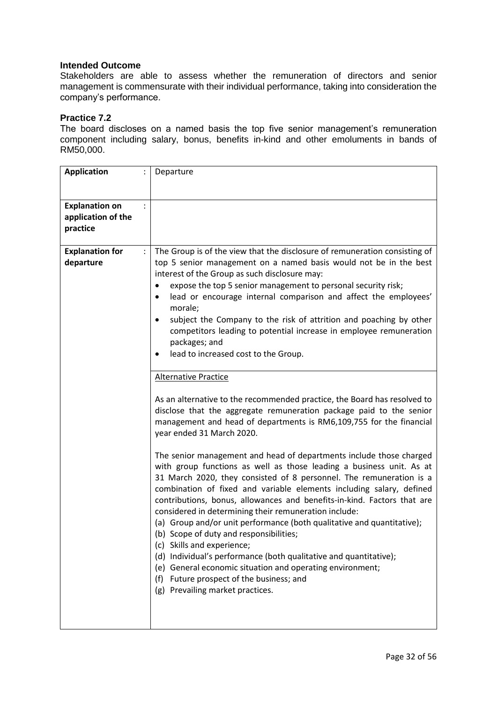Stakeholders are able to assess whether the remuneration of directors and senior management is commensurate with their individual performance, taking into consideration the company's performance.

### **Practice 7.2**

The board discloses on a named basis the top five senior management's remuneration component including salary, bonus, benefits in-kind and other emoluments in bands of RM50,000.

| <b>Application</b>                                      | Departure                                                                                                                                                                                                                                                                                                                                                                                                                                                                                                                                                                                                                                                                                                                                                                                           |
|---------------------------------------------------------|-----------------------------------------------------------------------------------------------------------------------------------------------------------------------------------------------------------------------------------------------------------------------------------------------------------------------------------------------------------------------------------------------------------------------------------------------------------------------------------------------------------------------------------------------------------------------------------------------------------------------------------------------------------------------------------------------------------------------------------------------------------------------------------------------------|
| <b>Explanation on</b><br>application of the<br>practice |                                                                                                                                                                                                                                                                                                                                                                                                                                                                                                                                                                                                                                                                                                                                                                                                     |
| <b>Explanation for</b><br>departure                     | The Group is of the view that the disclosure of remuneration consisting of<br>top 5 senior management on a named basis would not be in the best<br>interest of the Group as such disclosure may:<br>expose the top 5 senior management to personal security risk;<br>lead or encourage internal comparison and affect the employees'<br>٠<br>morale;<br>subject the Company to the risk of attrition and poaching by other<br>competitors leading to potential increase in employee remuneration<br>packages; and<br>lead to increased cost to the Group.                                                                                                                                                                                                                                           |
|                                                         | <b>Alternative Practice</b><br>As an alternative to the recommended practice, the Board has resolved to<br>disclose that the aggregate remuneration package paid to the senior<br>management and head of departments is RM6,109,755 for the financial<br>year ended 31 March 2020.                                                                                                                                                                                                                                                                                                                                                                                                                                                                                                                  |
|                                                         | The senior management and head of departments include those charged<br>with group functions as well as those leading a business unit. As at<br>31 March 2020, they consisted of 8 personnel. The remuneration is a<br>combination of fixed and variable elements including salary, defined<br>contributions, bonus, allowances and benefits-in-kind. Factors that are<br>considered in determining their remuneration include:<br>(a) Group and/or unit performance (both qualitative and quantitative);<br>(b) Scope of duty and responsibilities;<br>(c) Skills and experience;<br>(d) Individual's performance (both qualitative and quantitative);<br>(e) General economic situation and operating environment;<br>(f) Future prospect of the business; and<br>(g) Prevailing market practices. |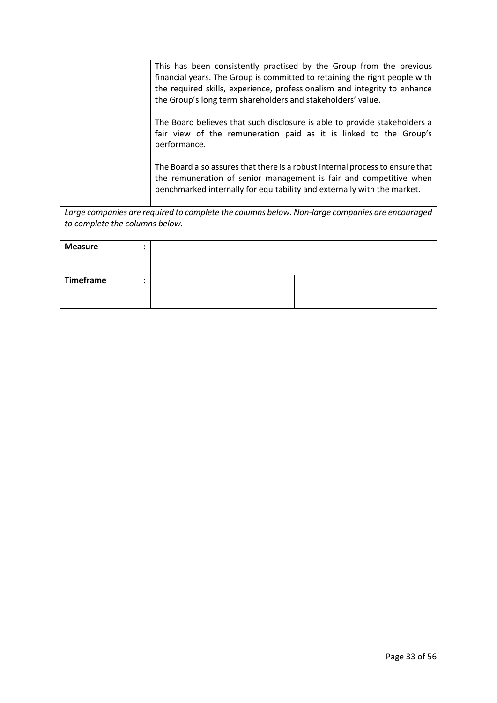|                                | This has been consistently practised by the Group from the previous<br>financial years. The Group is committed to retaining the right people with<br>the required skills, experience, professionalism and integrity to enhance<br>the Group's long term shareholders and stakeholders' value.<br>The Board believes that such disclosure is able to provide stakeholders a<br>fair view of the remuneration paid as it is linked to the Group's<br>performance.<br>The Board also assures that there is a robust internal process to ensure that |
|--------------------------------|--------------------------------------------------------------------------------------------------------------------------------------------------------------------------------------------------------------------------------------------------------------------------------------------------------------------------------------------------------------------------------------------------------------------------------------------------------------------------------------------------------------------------------------------------|
|                                | the remuneration of senior management is fair and competitive when<br>benchmarked internally for equitability and externally with the market.                                                                                                                                                                                                                                                                                                                                                                                                    |
| to complete the columns below. | Large companies are required to complete the columns below. Non-large companies are encouraged                                                                                                                                                                                                                                                                                                                                                                                                                                                   |
| <b>Measure</b>                 |                                                                                                                                                                                                                                                                                                                                                                                                                                                                                                                                                  |
| <b>Timeframe</b>               |                                                                                                                                                                                                                                                                                                                                                                                                                                                                                                                                                  |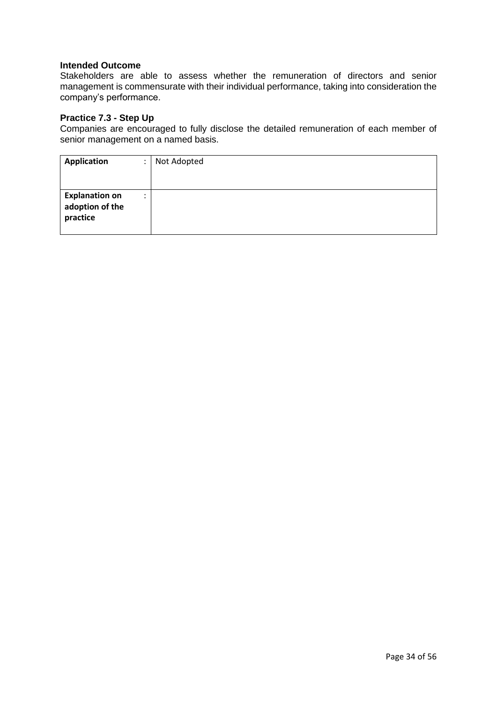Stakeholders are able to assess whether the remuneration of directors and senior management is commensurate with their individual performance, taking into consideration the company's performance.

#### **Practice 7.3 - Step Up**

Companies are encouraged to fully disclose the detailed remuneration of each member of senior management on a named basis.

| Application                                          | ٠ | Not Adopted |
|------------------------------------------------------|---|-------------|
|                                                      |   |             |
| <b>Explanation on</b><br>adoption of the<br>practice | ٠ |             |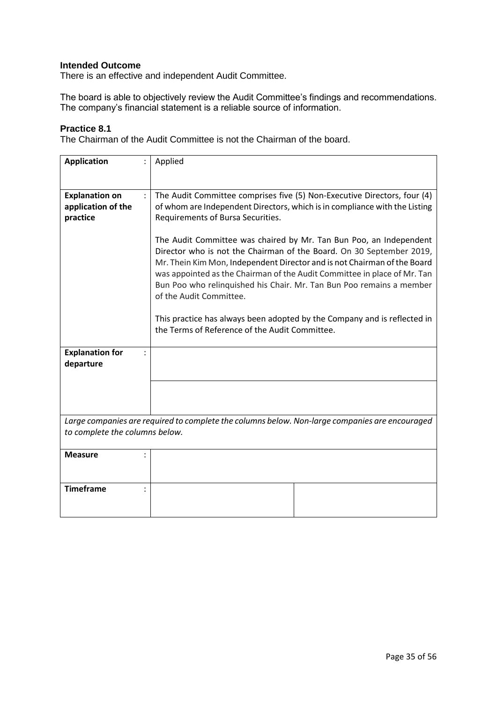There is an effective and independent Audit Committee.

The board is able to objectively review the Audit Committee's findings and recommendations. The company's financial statement is a reliable source of information.

# **Practice 8.1**

The Chairman of the Audit Committee is not the Chairman of the board.

| <b>Application</b>                                      | Applied                                                                                                                                                                                                                                                                                                                                                                                                                                                                                                                             |
|---------------------------------------------------------|-------------------------------------------------------------------------------------------------------------------------------------------------------------------------------------------------------------------------------------------------------------------------------------------------------------------------------------------------------------------------------------------------------------------------------------------------------------------------------------------------------------------------------------|
| <b>Explanation on</b><br>application of the<br>practice | The Audit Committee comprises five (5) Non-Executive Directors, four (4)<br>of whom are Independent Directors, which is in compliance with the Listing<br>Requirements of Bursa Securities.                                                                                                                                                                                                                                                                                                                                         |
|                                                         | The Audit Committee was chaired by Mr. Tan Bun Poo, an Independent<br>Director who is not the Chairman of the Board. On 30 September 2019,<br>Mr. Thein Kim Mon, Independent Director and is not Chairman of the Board<br>was appointed as the Chairman of the Audit Committee in place of Mr. Tan<br>Bun Poo who relinguished his Chair. Mr. Tan Bun Poo remains a member<br>of the Audit Committee.<br>This practice has always been adopted by the Company and is reflected in<br>the Terms of Reference of the Audit Committee. |
|                                                         |                                                                                                                                                                                                                                                                                                                                                                                                                                                                                                                                     |
| <b>Explanation for</b><br>$\cdot$<br>departure          |                                                                                                                                                                                                                                                                                                                                                                                                                                                                                                                                     |
|                                                         |                                                                                                                                                                                                                                                                                                                                                                                                                                                                                                                                     |
| to complete the columns below.                          | Large companies are required to complete the columns below. Non-large companies are encouraged                                                                                                                                                                                                                                                                                                                                                                                                                                      |
| <b>Measure</b>                                          |                                                                                                                                                                                                                                                                                                                                                                                                                                                                                                                                     |
| <b>Timeframe</b>                                        |                                                                                                                                                                                                                                                                                                                                                                                                                                                                                                                                     |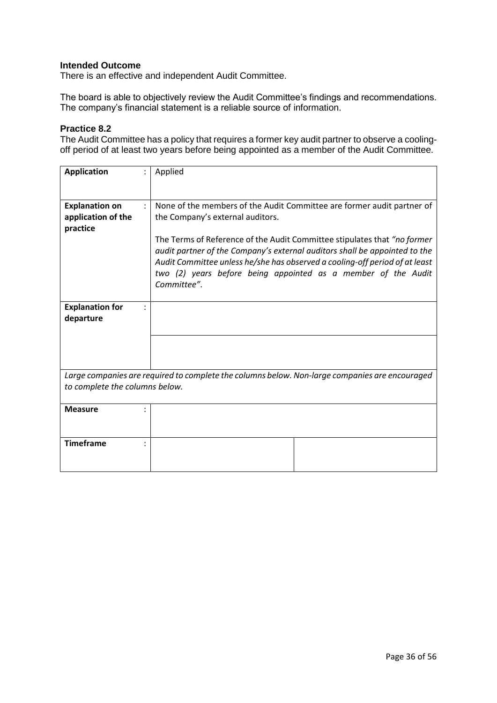There is an effective and independent Audit Committee.

The board is able to objectively review the Audit Committee's findings and recommendations. The company's financial statement is a reliable source of information.

### **Practice 8.2**

The Audit Committee has a policy that requires a former key audit partner to observe a coolingoff period of at least two years before being appointed as a member of the Audit Committee.

| <b>Application</b>             | Applied                                                                                                                                                   |
|--------------------------------|-----------------------------------------------------------------------------------------------------------------------------------------------------------|
|                                |                                                                                                                                                           |
| <b>Explanation on</b>          | None of the members of the Audit Committee are former audit partner of                                                                                    |
| application of the             | the Company's external auditors.                                                                                                                          |
| practice                       |                                                                                                                                                           |
|                                | The Terms of Reference of the Audit Committee stipulates that "no former                                                                                  |
|                                | audit partner of the Company's external auditors shall be appointed to the<br>Audit Committee unless he/she has observed a cooling-off period of at least |
|                                | two (2) years before being appointed as a member of the Audit                                                                                             |
|                                | Committee".                                                                                                                                               |
|                                |                                                                                                                                                           |
| <b>Explanation for</b>         |                                                                                                                                                           |
| departure                      |                                                                                                                                                           |
|                                |                                                                                                                                                           |
|                                |                                                                                                                                                           |
|                                |                                                                                                                                                           |
|                                | Large companies are required to complete the columns below. Non-large companies are encouraged                                                            |
| to complete the columns below. |                                                                                                                                                           |
| <b>Measure</b>                 |                                                                                                                                                           |
|                                |                                                                                                                                                           |
|                                |                                                                                                                                                           |
| <b>Timeframe</b>               |                                                                                                                                                           |
|                                |                                                                                                                                                           |
|                                |                                                                                                                                                           |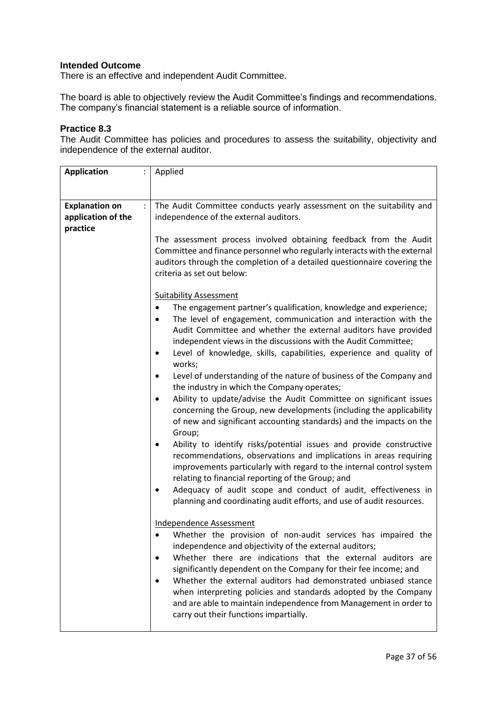There is an effective and independent Audit Committee.

The board is able to objectively review the Audit Committee's findings and recommendations. The company's financial statement is a reliable source of information.

### **Practice 8.3**

The Audit Committee has policies and procedures to assess the suitability, objectivity and independence of the external auditor.

| <b>Application</b>    | Applied                                                                                                                                                                                                                                                                                                                                                                              |
|-----------------------|--------------------------------------------------------------------------------------------------------------------------------------------------------------------------------------------------------------------------------------------------------------------------------------------------------------------------------------------------------------------------------------|
|                       |                                                                                                                                                                                                                                                                                                                                                                                      |
|                       |                                                                                                                                                                                                                                                                                                                                                                                      |
| <b>Explanation on</b> | The Audit Committee conducts yearly assessment on the suitability and<br>$\ddot{\phantom{a}}$                                                                                                                                                                                                                                                                                        |
| application of the    | independence of the external auditors.                                                                                                                                                                                                                                                                                                                                               |
| practice              |                                                                                                                                                                                                                                                                                                                                                                                      |
|                       | The assessment process involved obtaining feedback from the Audit<br>Committee and finance personnel who regularly interacts with the external<br>auditors through the completion of a detailed questionnaire covering the<br>criteria as set out below:                                                                                                                             |
|                       | <b>Suitability Assessment</b>                                                                                                                                                                                                                                                                                                                                                        |
|                       | The engagement partner's qualification, knowledge and experience;<br>The level of engagement, communication and interaction with the<br>Audit Committee and whether the external auditors have provided<br>independent views in the discussions with the Audit Committee;<br>Level of knowledge, skills, capabilities, experience and quality of<br>٠<br>works;                      |
|                       | Level of understanding of the nature of business of the Company and<br>٠<br>the industry in which the Company operates;                                                                                                                                                                                                                                                              |
|                       | Ability to update/advise the Audit Committee on significant issues<br>$\bullet$<br>concerning the Group, new developments (including the applicability<br>of new and significant accounting standards) and the impacts on the<br>Group;                                                                                                                                              |
|                       | Ability to identify risks/potential issues and provide constructive<br>$\bullet$<br>recommendations, observations and implications in areas requiring<br>improvements particularly with regard to the internal control system<br>relating to financial reporting of the Group; and                                                                                                   |
|                       | Adequacy of audit scope and conduct of audit, effectiveness in<br>planning and coordinating audit efforts, and use of audit resources.                                                                                                                                                                                                                                               |
|                       | Independence Assessment                                                                                                                                                                                                                                                                                                                                                              |
|                       | Whether the provision of non-audit services has impaired the<br>independence and objectivity of the external auditors;                                                                                                                                                                                                                                                               |
|                       | Whether there are indications that the external auditors are<br>significantly dependent on the Company for their fee income; and<br>Whether the external auditors had demonstrated unbiased stance<br>when interpreting policies and standards adopted by the Company<br>and are able to maintain independence from Management in order to<br>carry out their functions impartially. |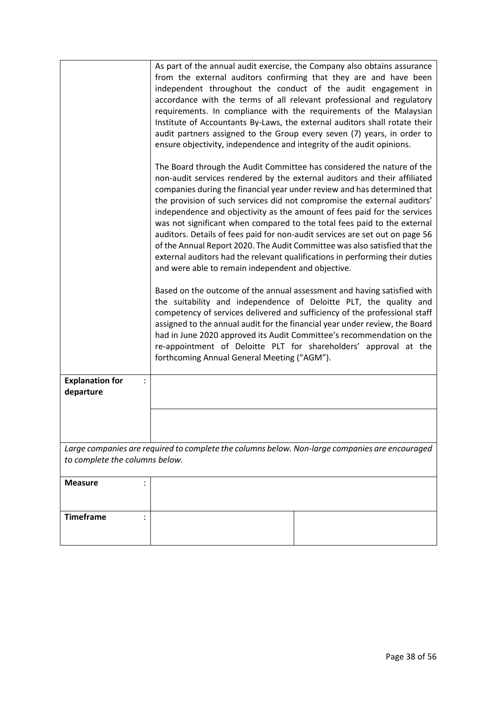|                                                                                                                                  | As part of the annual audit exercise, the Company also obtains assurance<br>from the external auditors confirming that they are and have been<br>independent throughout the conduct of the audit engagement in<br>accordance with the terms of all relevant professional and regulatory<br>requirements. In compliance with the requirements of the Malaysian<br>Institute of Accountants By-Laws, the external auditors shall rotate their<br>audit partners assigned to the Group every seven (7) years, in order to<br>ensure objectivity, independence and integrity of the audit opinions.<br>The Board through the Audit Committee has considered the nature of the                     |  |
|----------------------------------------------------------------------------------------------------------------------------------|-----------------------------------------------------------------------------------------------------------------------------------------------------------------------------------------------------------------------------------------------------------------------------------------------------------------------------------------------------------------------------------------------------------------------------------------------------------------------------------------------------------------------------------------------------------------------------------------------------------------------------------------------------------------------------------------------|--|
|                                                                                                                                  | non-audit services rendered by the external auditors and their affiliated<br>companies during the financial year under review and has determined that<br>the provision of such services did not compromise the external auditors'<br>independence and objectivity as the amount of fees paid for the services<br>was not significant when compared to the total fees paid to the external<br>auditors. Details of fees paid for non-audit services are set out on page 56<br>of the Annual Report 2020. The Audit Committee was also satisfied that the<br>external auditors had the relevant qualifications in performing their duties<br>and were able to remain independent and objective. |  |
|                                                                                                                                  | Based on the outcome of the annual assessment and having satisfied with<br>the suitability and independence of Deloitte PLT, the quality and<br>competency of services delivered and sufficiency of the professional staff<br>assigned to the annual audit for the financial year under review, the Board<br>had in June 2020 approved its Audit Committee's recommendation on the<br>re-appointment of Deloitte PLT for shareholders' approval at the<br>forthcoming Annual General Meeting ("AGM").                                                                                                                                                                                         |  |
| <b>Explanation for</b><br>departure                                                                                              |                                                                                                                                                                                                                                                                                                                                                                                                                                                                                                                                                                                                                                                                                               |  |
|                                                                                                                                  |                                                                                                                                                                                                                                                                                                                                                                                                                                                                                                                                                                                                                                                                                               |  |
| Large companies are required to complete the columns below. Non-large companies are encouraged<br>to complete the columns below. |                                                                                                                                                                                                                                                                                                                                                                                                                                                                                                                                                                                                                                                                                               |  |
| <b>Measure</b>                                                                                                                   |                                                                                                                                                                                                                                                                                                                                                                                                                                                                                                                                                                                                                                                                                               |  |
| <b>Timeframe</b>                                                                                                                 |                                                                                                                                                                                                                                                                                                                                                                                                                                                                                                                                                                                                                                                                                               |  |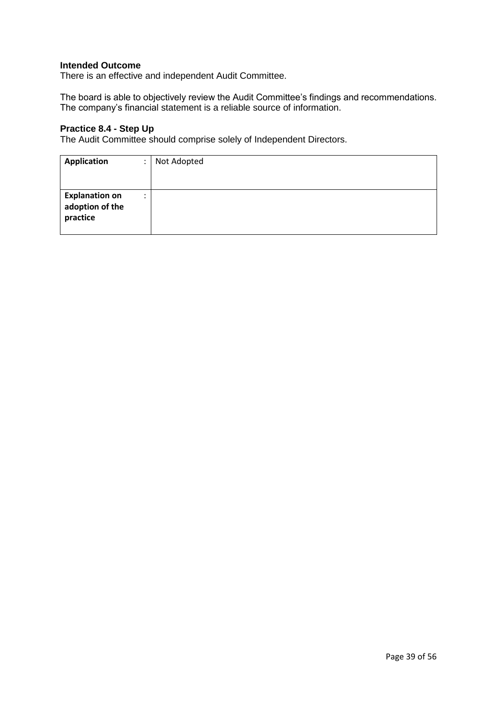There is an effective and independent Audit Committee.

The board is able to objectively review the Audit Committee's findings and recommendations. The company's financial statement is a reliable source of information.

### **Practice 8.4 - Step Up**

The Audit Committee should comprise solely of Independent Directors.

| Application                                          |   | Not Adopted |
|------------------------------------------------------|---|-------------|
| <b>Explanation on</b><br>adoption of the<br>practice | ٠ |             |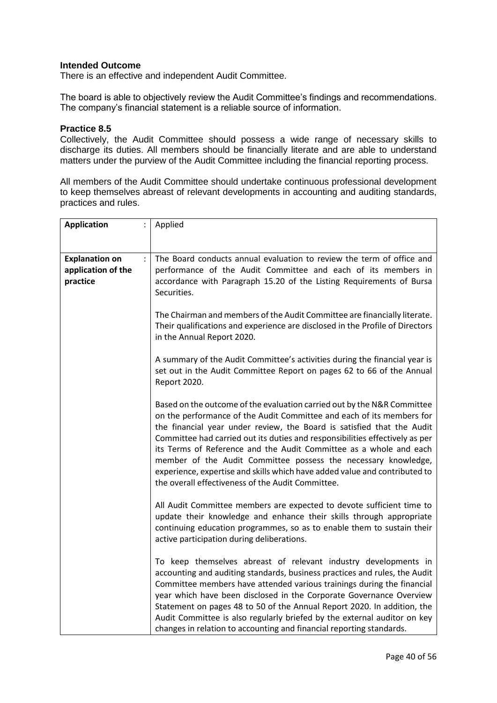There is an effective and independent Audit Committee.

The board is able to objectively review the Audit Committee's findings and recommendations. The company's financial statement is a reliable source of information.

#### **Practice 8.5**

Collectively, the Audit Committee should possess a wide range of necessary skills to discharge its duties. All members should be financially literate and are able to understand matters under the purview of the Audit Committee including the financial reporting process.

All members of the Audit Committee should undertake continuous professional development to keep themselves abreast of relevant developments in accounting and auditing standards, practices and rules.

| <b>Application</b>                      | Applied                                                                                                                                                                                                                                                                                                                                                                                                                                                                                                                                                                               |  |
|-----------------------------------------|---------------------------------------------------------------------------------------------------------------------------------------------------------------------------------------------------------------------------------------------------------------------------------------------------------------------------------------------------------------------------------------------------------------------------------------------------------------------------------------------------------------------------------------------------------------------------------------|--|
|                                         |                                                                                                                                                                                                                                                                                                                                                                                                                                                                                                                                                                                       |  |
|                                         |                                                                                                                                                                                                                                                                                                                                                                                                                                                                                                                                                                                       |  |
| <b>Explanation on</b><br>$\ddot{\cdot}$ | The Board conducts annual evaluation to review the term of office and                                                                                                                                                                                                                                                                                                                                                                                                                                                                                                                 |  |
| application of the                      | performance of the Audit Committee and each of its members in                                                                                                                                                                                                                                                                                                                                                                                                                                                                                                                         |  |
| practice                                | accordance with Paragraph 15.20 of the Listing Requirements of Bursa                                                                                                                                                                                                                                                                                                                                                                                                                                                                                                                  |  |
|                                         | Securities.                                                                                                                                                                                                                                                                                                                                                                                                                                                                                                                                                                           |  |
|                                         | The Chairman and members of the Audit Committee are financially literate.<br>Their qualifications and experience are disclosed in the Profile of Directors<br>in the Annual Report 2020.                                                                                                                                                                                                                                                                                                                                                                                              |  |
|                                         |                                                                                                                                                                                                                                                                                                                                                                                                                                                                                                                                                                                       |  |
|                                         | A summary of the Audit Committee's activities during the financial year is<br>set out in the Audit Committee Report on pages 62 to 66 of the Annual<br>Report 2020.                                                                                                                                                                                                                                                                                                                                                                                                                   |  |
|                                         | Based on the outcome of the evaluation carried out by the N&R Committee<br>on the performance of the Audit Committee and each of its members for<br>the financial year under review, the Board is satisfied that the Audit<br>Committee had carried out its duties and responsibilities effectively as per<br>its Terms of Reference and the Audit Committee as a whole and each<br>member of the Audit Committee possess the necessary knowledge,<br>experience, expertise and skills which have added value and contributed to<br>the overall effectiveness of the Audit Committee. |  |
|                                         | All Audit Committee members are expected to devote sufficient time to<br>update their knowledge and enhance their skills through appropriate<br>continuing education programmes, so as to enable them to sustain their<br>active participation during deliberations.                                                                                                                                                                                                                                                                                                                  |  |
|                                         | To keep themselves abreast of relevant industry developments in<br>accounting and auditing standards, business practices and rules, the Audit<br>Committee members have attended various trainings during the financial<br>year which have been disclosed in the Corporate Governance Overview<br>Statement on pages 48 to 50 of the Annual Report 2020. In addition, the<br>Audit Committee is also regularly briefed by the external auditor on key<br>changes in relation to accounting and financial reporting standards.                                                         |  |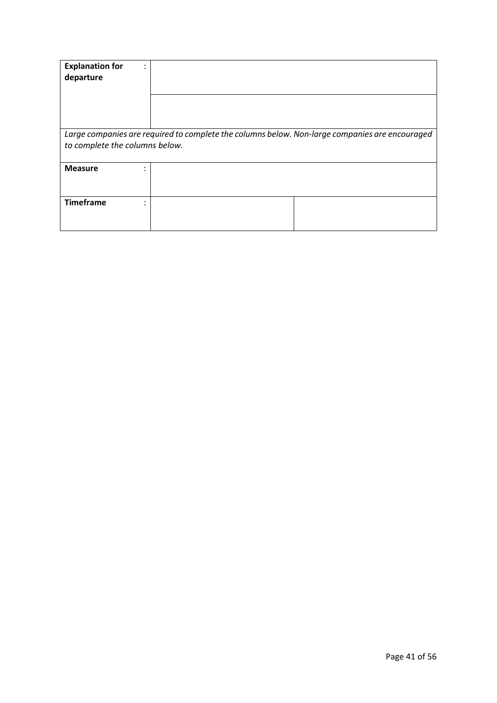| <b>Explanation for</b><br>departure                                                                                              |  |  |
|----------------------------------------------------------------------------------------------------------------------------------|--|--|
|                                                                                                                                  |  |  |
| Large companies are required to complete the columns below. Non-large companies are encouraged<br>to complete the columns below. |  |  |
| <b>Measure</b><br>٠<br>$\bullet$                                                                                                 |  |  |
| <b>Timeframe</b><br>٠<br>۰.                                                                                                      |  |  |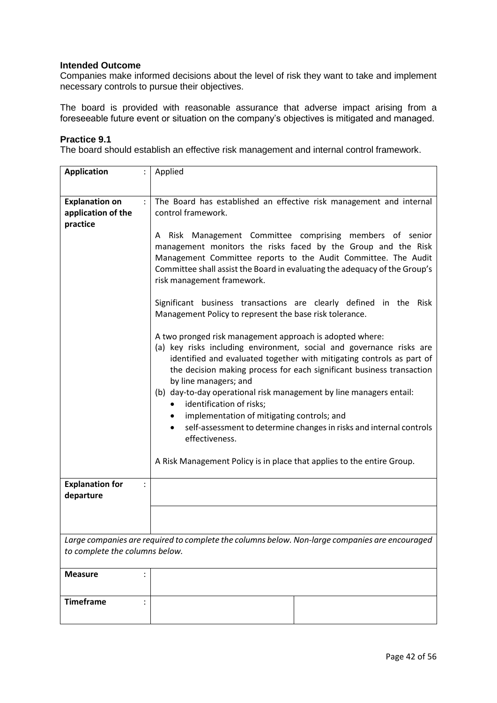Companies make informed decisions about the level of risk they want to take and implement necessary controls to pursue their objectives.

The board is provided with reasonable assurance that adverse impact arising from a foreseeable future event or situation on the company's objectives is mitigated and managed.

#### **Practice 9.1**

The board should establish an effective risk management and internal control framework.

| <b>Application</b>                                      | Applied                                                                                                                                                                                                                                                                                                                                                                                                                                                                                                                                                                         |  |  |
|---------------------------------------------------------|---------------------------------------------------------------------------------------------------------------------------------------------------------------------------------------------------------------------------------------------------------------------------------------------------------------------------------------------------------------------------------------------------------------------------------------------------------------------------------------------------------------------------------------------------------------------------------|--|--|
|                                                         |                                                                                                                                                                                                                                                                                                                                                                                                                                                                                                                                                                                 |  |  |
| <b>Explanation on</b><br>application of the<br>practice | $\ddot{\cdot}$<br>The Board has established an effective risk management and internal<br>control framework.                                                                                                                                                                                                                                                                                                                                                                                                                                                                     |  |  |
|                                                         | Risk Management Committee comprising members of senior<br>A<br>management monitors the risks faced by the Group and the Risk<br>Management Committee reports to the Audit Committee. The Audit<br>Committee shall assist the Board in evaluating the adequacy of the Group's<br>risk management framework.                                                                                                                                                                                                                                                                      |  |  |
|                                                         | Significant business transactions are clearly defined in the Risk<br>Management Policy to represent the base risk tolerance.                                                                                                                                                                                                                                                                                                                                                                                                                                                    |  |  |
|                                                         | A two pronged risk management approach is adopted where:<br>(a) key risks including environment, social and governance risks are<br>identified and evaluated together with mitigating controls as part of<br>the decision making process for each significant business transaction<br>by line managers; and<br>(b) day-to-day operational risk management by line managers entail:<br>identification of risks;<br>implementation of mitigating controls; and<br>$\bullet$<br>self-assessment to determine changes in risks and internal controls<br>$\bullet$<br>effectiveness. |  |  |
|                                                         | A Risk Management Policy is in place that applies to the entire Group.                                                                                                                                                                                                                                                                                                                                                                                                                                                                                                          |  |  |
| <b>Explanation for</b><br>departure                     | $\ddot{\cdot}$                                                                                                                                                                                                                                                                                                                                                                                                                                                                                                                                                                  |  |  |
|                                                         |                                                                                                                                                                                                                                                                                                                                                                                                                                                                                                                                                                                 |  |  |
|                                                         | Large companies are required to complete the columns below. Non-large companies are encouraged                                                                                                                                                                                                                                                                                                                                                                                                                                                                                  |  |  |
| to complete the columns below.                          |                                                                                                                                                                                                                                                                                                                                                                                                                                                                                                                                                                                 |  |  |
| <b>Measure</b>                                          |                                                                                                                                                                                                                                                                                                                                                                                                                                                                                                                                                                                 |  |  |
| <b>Timeframe</b>                                        |                                                                                                                                                                                                                                                                                                                                                                                                                                                                                                                                                                                 |  |  |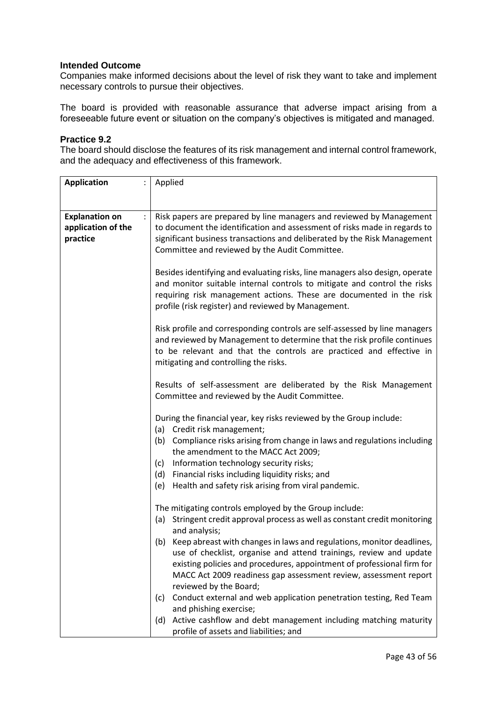Companies make informed decisions about the level of risk they want to take and implement necessary controls to pursue their objectives.

The board is provided with reasonable assurance that adverse impact arising from a foreseeable future event or situation on the company's objectives is mitigated and managed.

#### **Practice 9.2**

The board should disclose the features of its risk management and internal control framework, and the adequacy and effectiveness of this framework.

| <b>Application</b>                                      | Applied<br>$\ddot{\cdot}$                                                                                                                                                                                                                                                                                               |  |  |
|---------------------------------------------------------|-------------------------------------------------------------------------------------------------------------------------------------------------------------------------------------------------------------------------------------------------------------------------------------------------------------------------|--|--|
|                                                         |                                                                                                                                                                                                                                                                                                                         |  |  |
| <b>Explanation on</b><br>application of the<br>practice | Risk papers are prepared by line managers and reviewed by Management<br>to document the identification and assessment of risks made in regards to<br>significant business transactions and deliberated by the Risk Management                                                                                           |  |  |
|                                                         | Committee and reviewed by the Audit Committee.                                                                                                                                                                                                                                                                          |  |  |
|                                                         | Besides identifying and evaluating risks, line managers also design, operate<br>and monitor suitable internal controls to mitigate and control the risks<br>requiring risk management actions. These are documented in the risk<br>profile (risk register) and reviewed by Management.                                  |  |  |
|                                                         | Risk profile and corresponding controls are self-assessed by line managers<br>and reviewed by Management to determine that the risk profile continues<br>to be relevant and that the controls are practiced and effective in<br>mitigating and controlling the risks.                                                   |  |  |
|                                                         | Results of self-assessment are deliberated by the Risk Management<br>Committee and reviewed by the Audit Committee.                                                                                                                                                                                                     |  |  |
|                                                         | During the financial year, key risks reviewed by the Group include:                                                                                                                                                                                                                                                     |  |  |
|                                                         | (a) Credit risk management;<br>Compliance risks arising from change in laws and regulations including<br>(b)<br>the amendment to the MACC Act 2009;                                                                                                                                                                     |  |  |
|                                                         | Information technology security risks;<br>(c)                                                                                                                                                                                                                                                                           |  |  |
|                                                         | (d) Financial risks including liquidity risks; and                                                                                                                                                                                                                                                                      |  |  |
|                                                         | Health and safety risk arising from viral pandemic.<br>(e)                                                                                                                                                                                                                                                              |  |  |
|                                                         | The mitigating controls employed by the Group include:                                                                                                                                                                                                                                                                  |  |  |
|                                                         | (a) Stringent credit approval process as well as constant credit monitoring<br>and analysis;                                                                                                                                                                                                                            |  |  |
|                                                         | (b) Keep abreast with changes in laws and regulations, monitor deadlines,<br>use of checklist, organise and attend trainings, review and update<br>existing policies and procedures, appointment of professional firm for<br>MACC Act 2009 readiness gap assessment review, assessment report<br>reviewed by the Board; |  |  |
|                                                         | Conduct external and web application penetration testing, Red Team<br>(c)<br>and phishing exercise;                                                                                                                                                                                                                     |  |  |
|                                                         | (d) Active cashflow and debt management including matching maturity<br>profile of assets and liabilities; and                                                                                                                                                                                                           |  |  |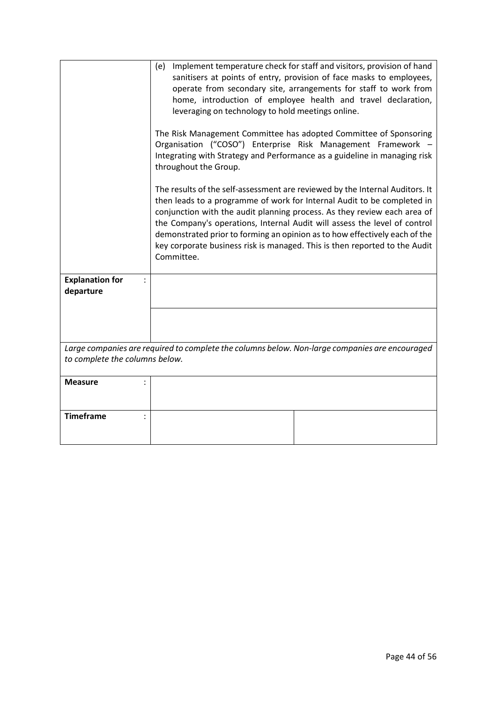|                                                                                                                                  | Implement temperature check for staff and visitors, provision of hand<br>(e)<br>sanitisers at points of entry, provision of face masks to employees,<br>operate from secondary site, arrangements for staff to work from<br>home, introduction of employee health and travel declaration,<br>leveraging on technology to hold meetings online.<br>The Risk Management Committee has adopted Committee of Sponsoring                                                                        |  |  |
|----------------------------------------------------------------------------------------------------------------------------------|--------------------------------------------------------------------------------------------------------------------------------------------------------------------------------------------------------------------------------------------------------------------------------------------------------------------------------------------------------------------------------------------------------------------------------------------------------------------------------------------|--|--|
|                                                                                                                                  | Organisation ("COSO") Enterprise Risk Management Framework -<br>Integrating with Strategy and Performance as a guideline in managing risk<br>throughout the Group.                                                                                                                                                                                                                                                                                                                         |  |  |
|                                                                                                                                  | The results of the self-assessment are reviewed by the Internal Auditors. It<br>then leads to a programme of work for Internal Audit to be completed in<br>conjunction with the audit planning process. As they review each area of<br>the Company's operations, Internal Audit will assess the level of control<br>demonstrated prior to forming an opinion as to how effectively each of the<br>key corporate business risk is managed. This is then reported to the Audit<br>Committee. |  |  |
| <b>Explanation for</b><br>departure                                                                                              |                                                                                                                                                                                                                                                                                                                                                                                                                                                                                            |  |  |
|                                                                                                                                  |                                                                                                                                                                                                                                                                                                                                                                                                                                                                                            |  |  |
| Large companies are required to complete the columns below. Non-large companies are encouraged<br>to complete the columns below. |                                                                                                                                                                                                                                                                                                                                                                                                                                                                                            |  |  |
| <b>Measure</b>                                                                                                                   |                                                                                                                                                                                                                                                                                                                                                                                                                                                                                            |  |  |
| <b>Timeframe</b><br>$\ddot{\cdot}$                                                                                               |                                                                                                                                                                                                                                                                                                                                                                                                                                                                                            |  |  |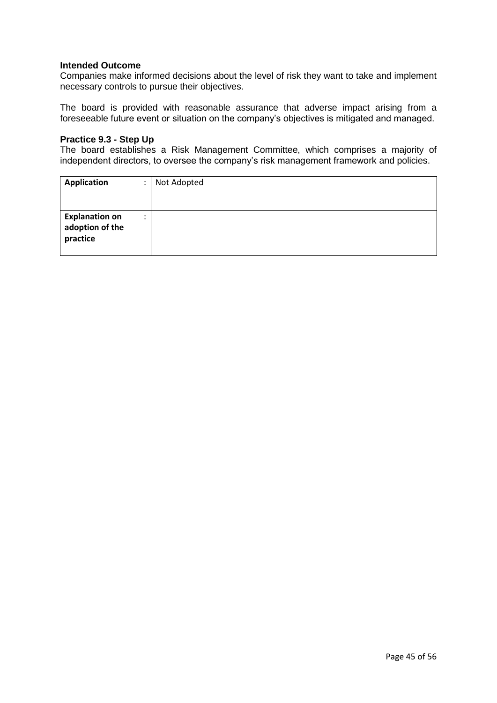Companies make informed decisions about the level of risk they want to take and implement necessary controls to pursue their objectives.

The board is provided with reasonable assurance that adverse impact arising from a foreseeable future event or situation on the company's objectives is mitigated and managed.

#### **Practice 9.3 - Step Up**

The board establishes a Risk Management Committee, which comprises a majority of independent directors, to oversee the company's risk management framework and policies.

| <b>Application</b>                                   | ٠                    | Not Adopted |
|------------------------------------------------------|----------------------|-------------|
| <b>Explanation on</b><br>adoption of the<br>practice | $\bullet$<br>$\cdot$ |             |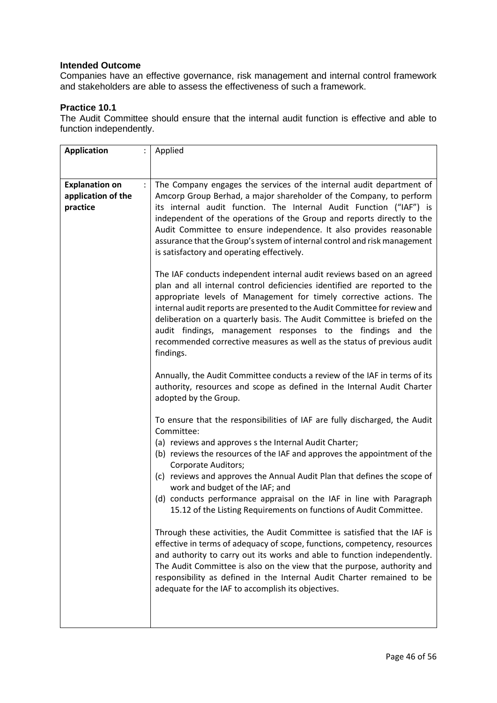Companies have an effective governance, risk management and internal control framework and stakeholders are able to assess the effectiveness of such a framework.

# **Practice 10.1**

The Audit Committee should ensure that the internal audit function is effective and able to function independently.

| <b>Application</b>                                      |  | Applied                                                                                                                                                                                                                                                                                                                                                                                                                                                                                                                                      |
|---------------------------------------------------------|--|----------------------------------------------------------------------------------------------------------------------------------------------------------------------------------------------------------------------------------------------------------------------------------------------------------------------------------------------------------------------------------------------------------------------------------------------------------------------------------------------------------------------------------------------|
|                                                         |  |                                                                                                                                                                                                                                                                                                                                                                                                                                                                                                                                              |
| <b>Explanation on</b><br>application of the<br>practice |  | The Company engages the services of the internal audit department of<br>Amcorp Group Berhad, a major shareholder of the Company, to perform<br>its internal audit function. The Internal Audit Function ("IAF") is<br>independent of the operations of the Group and reports directly to the<br>Audit Committee to ensure independence. It also provides reasonable<br>assurance that the Group's system of internal control and risk management<br>is satisfactory and operating effectively.                                               |
|                                                         |  | The IAF conducts independent internal audit reviews based on an agreed<br>plan and all internal control deficiencies identified are reported to the<br>appropriate levels of Management for timely corrective actions. The<br>internal audit reports are presented to the Audit Committee for review and<br>deliberation on a quarterly basis. The Audit Committee is briefed on the<br>audit findings, management responses to the findings and the<br>recommended corrective measures as well as the status of previous audit<br>findings. |
|                                                         |  | Annually, the Audit Committee conducts a review of the IAF in terms of its<br>authority, resources and scope as defined in the Internal Audit Charter<br>adopted by the Group.                                                                                                                                                                                                                                                                                                                                                               |
|                                                         |  | To ensure that the responsibilities of IAF are fully discharged, the Audit<br>Committee:                                                                                                                                                                                                                                                                                                                                                                                                                                                     |
|                                                         |  | (a) reviews and approves s the Internal Audit Charter;<br>(b) reviews the resources of the IAF and approves the appointment of the                                                                                                                                                                                                                                                                                                                                                                                                           |
|                                                         |  | Corporate Auditors;<br>(c) reviews and approves the Annual Audit Plan that defines the scope of<br>work and budget of the IAF; and<br>(d) conducts performance appraisal on the IAF in line with Paragraph<br>15.12 of the Listing Requirements on functions of Audit Committee.                                                                                                                                                                                                                                                             |
|                                                         |  | Through these activities, the Audit Committee is satisfied that the IAF is<br>effective in terms of adequacy of scope, functions, competency, resources<br>and authority to carry out its works and able to function independently.<br>The Audit Committee is also on the view that the purpose, authority and<br>responsibility as defined in the Internal Audit Charter remained to be<br>adequate for the IAF to accomplish its objectives.                                                                                               |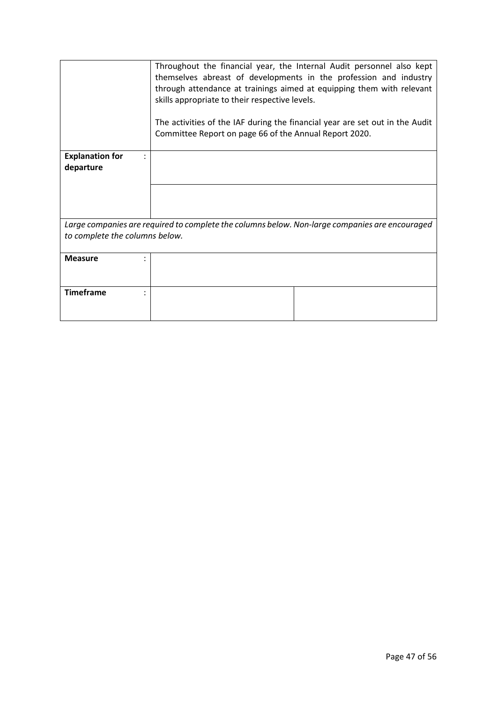|                                                                                                | Throughout the financial year, the Internal Audit personnel also kept<br>themselves abreast of developments in the profession and industry<br>through attendance at trainings aimed at equipping them with relevant<br>skills appropriate to their respective levels.<br>The activities of the IAF during the financial year are set out in the Audit |  |  |
|------------------------------------------------------------------------------------------------|-------------------------------------------------------------------------------------------------------------------------------------------------------------------------------------------------------------------------------------------------------------------------------------------------------------------------------------------------------|--|--|
|                                                                                                | Committee Report on page 66 of the Annual Report 2020.                                                                                                                                                                                                                                                                                                |  |  |
| <b>Explanation for</b><br>departure                                                            |                                                                                                                                                                                                                                                                                                                                                       |  |  |
|                                                                                                |                                                                                                                                                                                                                                                                                                                                                       |  |  |
| Large companies are required to complete the columns below. Non-large companies are encouraged |                                                                                                                                                                                                                                                                                                                                                       |  |  |
| to complete the columns below.                                                                 |                                                                                                                                                                                                                                                                                                                                                       |  |  |
|                                                                                                |                                                                                                                                                                                                                                                                                                                                                       |  |  |
| <b>Measure</b>                                                                                 |                                                                                                                                                                                                                                                                                                                                                       |  |  |
| <b>Timeframe</b>                                                                               |                                                                                                                                                                                                                                                                                                                                                       |  |  |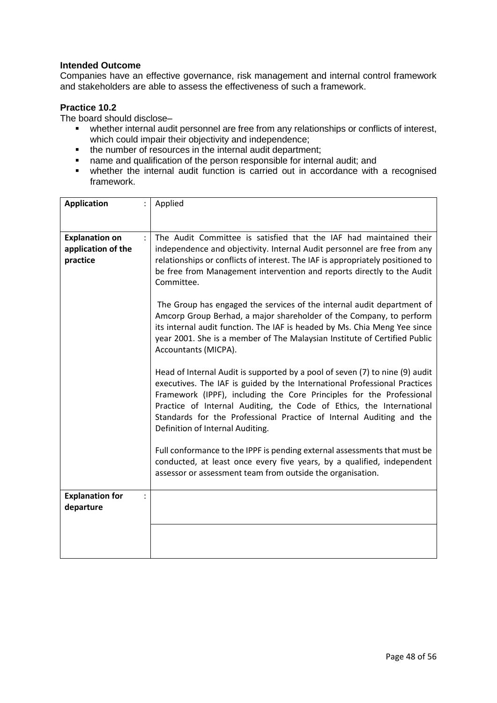Companies have an effective governance, risk management and internal control framework and stakeholders are able to assess the effectiveness of such a framework.

### **Practice 10.2**

The board should disclose–

- whether internal audit personnel are free from any relationships or conflicts of interest, which could impair their objectivity and independence;
- the number of resources in the internal audit department;
- name and qualification of the person responsible for internal audit; and
- whether the internal audit function is carried out in accordance with a recognised framework.

| <b>Application</b>                                      | Applied                                                                                                                                                                                                                                                                                                                                                                                                               |
|---------------------------------------------------------|-----------------------------------------------------------------------------------------------------------------------------------------------------------------------------------------------------------------------------------------------------------------------------------------------------------------------------------------------------------------------------------------------------------------------|
| <b>Explanation on</b><br>application of the<br>practice | The Audit Committee is satisfied that the IAF had maintained their<br>independence and objectivity. Internal Audit personnel are free from any<br>relationships or conflicts of interest. The IAF is appropriately positioned to<br>be free from Management intervention and reports directly to the Audit<br>Committee.                                                                                              |
|                                                         | The Group has engaged the services of the internal audit department of<br>Amcorp Group Berhad, a major shareholder of the Company, to perform<br>its internal audit function. The IAF is headed by Ms. Chia Meng Yee since<br>year 2001. She is a member of The Malaysian Institute of Certified Public<br>Accountants (MICPA).                                                                                       |
|                                                         | Head of Internal Audit is supported by a pool of seven (7) to nine (9) audit<br>executives. The IAF is guided by the International Professional Practices<br>Framework (IPPF), including the Core Principles for the Professional<br>Practice of Internal Auditing, the Code of Ethics, the International<br>Standards for the Professional Practice of Internal Auditing and the<br>Definition of Internal Auditing. |
|                                                         | Full conformance to the IPPF is pending external assessments that must be<br>conducted, at least once every five years, by a qualified, independent<br>assessor or assessment team from outside the organisation.                                                                                                                                                                                                     |
| <b>Explanation for</b>                                  |                                                                                                                                                                                                                                                                                                                                                                                                                       |
| departure                                               |                                                                                                                                                                                                                                                                                                                                                                                                                       |
|                                                         |                                                                                                                                                                                                                                                                                                                                                                                                                       |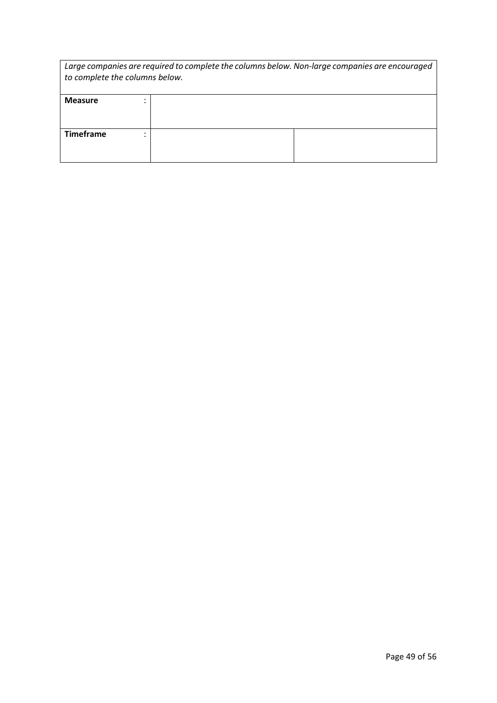| Large companies are required to complete the columns below. Non-large companies are encouraged<br>to complete the columns below. |  |  |  |
|----------------------------------------------------------------------------------------------------------------------------------|--|--|--|
| <b>Measure</b>                                                                                                                   |  |  |  |
| <b>Timeframe</b>                                                                                                                 |  |  |  |
|                                                                                                                                  |  |  |  |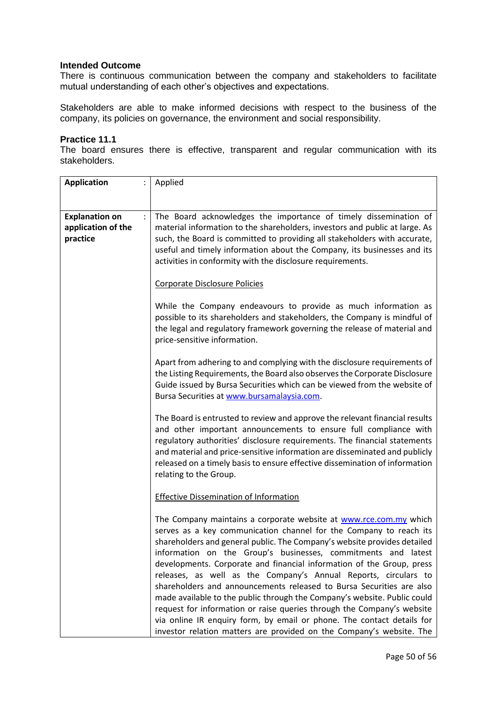There is continuous communication between the company and stakeholders to facilitate mutual understanding of each other's objectives and expectations.

Stakeholders are able to make informed decisions with respect to the business of the company, its policies on governance, the environment and social responsibility.

#### **Practice 11.1**

The board ensures there is effective, transparent and regular communication with its stakeholders.

| <b>Application</b>                                      | Applied                                                                                                                                                                                                                                                                                                                                                                                                                                                                                                                                                                                                                                                                                                                                                                                                          |
|---------------------------------------------------------|------------------------------------------------------------------------------------------------------------------------------------------------------------------------------------------------------------------------------------------------------------------------------------------------------------------------------------------------------------------------------------------------------------------------------------------------------------------------------------------------------------------------------------------------------------------------------------------------------------------------------------------------------------------------------------------------------------------------------------------------------------------------------------------------------------------|
| <b>Explanation on</b><br>application of the<br>practice | The Board acknowledges the importance of timely dissemination of<br>material information to the shareholders, investors and public at large. As<br>such, the Board is committed to providing all stakeholders with accurate,<br>useful and timely information about the Company, its businesses and its<br>activities in conformity with the disclosure requirements.                                                                                                                                                                                                                                                                                                                                                                                                                                            |
|                                                         | Corporate Disclosure Policies<br>While the Company endeavours to provide as much information as<br>possible to its shareholders and stakeholders, the Company is mindful of<br>the legal and regulatory framework governing the release of material and<br>price-sensitive information.                                                                                                                                                                                                                                                                                                                                                                                                                                                                                                                          |
|                                                         | Apart from adhering to and complying with the disclosure requirements of<br>the Listing Requirements, the Board also observes the Corporate Disclosure<br>Guide issued by Bursa Securities which can be viewed from the website of<br>Bursa Securities at www.bursamalaysia.com.                                                                                                                                                                                                                                                                                                                                                                                                                                                                                                                                 |
|                                                         | The Board is entrusted to review and approve the relevant financial results<br>and other important announcements to ensure full compliance with<br>regulatory authorities' disclosure requirements. The financial statements<br>and material and price-sensitive information are disseminated and publicly<br>released on a timely basis to ensure effective dissemination of information<br>relating to the Group.                                                                                                                                                                                                                                                                                                                                                                                              |
|                                                         | <b>Effective Dissemination of Information</b>                                                                                                                                                                                                                                                                                                                                                                                                                                                                                                                                                                                                                                                                                                                                                                    |
|                                                         | The Company maintains a corporate website at www.rce.com.my which<br>serves as a key communication channel for the Company to reach its<br>shareholders and general public. The Company's website provides detailed<br>information on the Group's businesses, commitments and latest<br>developments. Corporate and financial information of the Group, press<br>releases, as well as the Company's Annual Reports, circulars to<br>shareholders and announcements released to Bursa Securities are also<br>made available to the public through the Company's website. Public could<br>request for information or raise queries through the Company's website<br>via online IR enquiry form, by email or phone. The contact details for<br>investor relation matters are provided on the Company's website. The |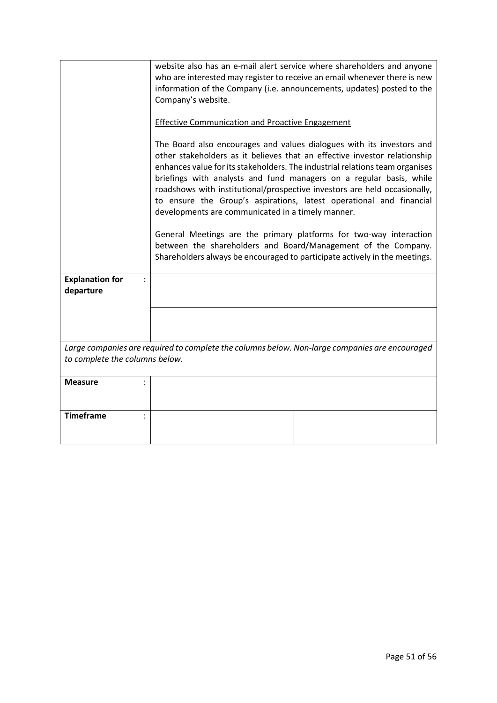|                                                                                                                                  | website also has an e-mail alert service where shareholders and anyone<br>who are interested may register to receive an email whenever there is new<br>information of the Company (i.e. announcements, updates) posted to the<br>Company's website.                                                                                                                                                                                                                                                                |
|----------------------------------------------------------------------------------------------------------------------------------|--------------------------------------------------------------------------------------------------------------------------------------------------------------------------------------------------------------------------------------------------------------------------------------------------------------------------------------------------------------------------------------------------------------------------------------------------------------------------------------------------------------------|
|                                                                                                                                  | <b>Effective Communication and Proactive Engagement</b>                                                                                                                                                                                                                                                                                                                                                                                                                                                            |
|                                                                                                                                  | The Board also encourages and values dialogues with its investors and<br>other stakeholders as it believes that an effective investor relationship<br>enhances value for its stakeholders. The industrial relations team organises<br>briefings with analysts and fund managers on a regular basis, while<br>roadshows with institutional/prospective investors are held occasionally,<br>to ensure the Group's aspirations, latest operational and financial<br>developments are communicated in a timely manner. |
|                                                                                                                                  | General Meetings are the primary platforms for two-way interaction<br>between the shareholders and Board/Management of the Company.<br>Shareholders always be encouraged to participate actively in the meetings.                                                                                                                                                                                                                                                                                                  |
| <b>Explanation for</b><br>departure                                                                                              |                                                                                                                                                                                                                                                                                                                                                                                                                                                                                                                    |
|                                                                                                                                  |                                                                                                                                                                                                                                                                                                                                                                                                                                                                                                                    |
| Large companies are required to complete the columns below. Non-large companies are encouraged<br>to complete the columns below. |                                                                                                                                                                                                                                                                                                                                                                                                                                                                                                                    |
| <b>Measure</b>                                                                                                                   |                                                                                                                                                                                                                                                                                                                                                                                                                                                                                                                    |
| <b>Timeframe</b>                                                                                                                 |                                                                                                                                                                                                                                                                                                                                                                                                                                                                                                                    |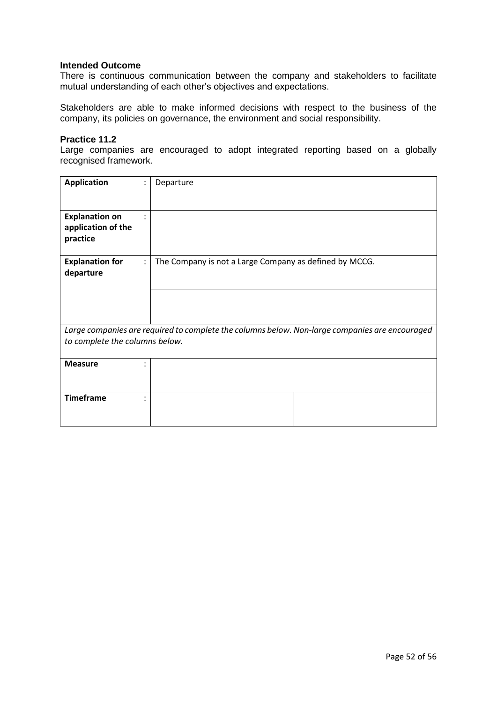There is continuous communication between the company and stakeholders to facilitate mutual understanding of each other's objectives and expectations.

Stakeholders are able to make informed decisions with respect to the business of the company, its policies on governance, the environment and social responsibility.

#### **Practice 11.2**

Large companies are encouraged to adopt integrated reporting based on a globally recognised framework.

| <b>Application</b>             | Departure                                                                                      |  |
|--------------------------------|------------------------------------------------------------------------------------------------|--|
|                                |                                                                                                |  |
|                                |                                                                                                |  |
| <b>Explanation on</b><br>٠     |                                                                                                |  |
| application of the             |                                                                                                |  |
|                                |                                                                                                |  |
| practice                       |                                                                                                |  |
|                                |                                                                                                |  |
| <b>Explanation for</b>         | The Company is not a Large Company as defined by MCCG.                                         |  |
| departure                      |                                                                                                |  |
|                                |                                                                                                |  |
|                                |                                                                                                |  |
|                                |                                                                                                |  |
|                                |                                                                                                |  |
|                                |                                                                                                |  |
|                                | Large companies are required to complete the columns below. Non-large companies are encouraged |  |
| to complete the columns below. |                                                                                                |  |
|                                |                                                                                                |  |
| <b>Measure</b><br>٠            |                                                                                                |  |
|                                |                                                                                                |  |
|                                |                                                                                                |  |
|                                |                                                                                                |  |
| <b>Timeframe</b><br>٠          |                                                                                                |  |
|                                |                                                                                                |  |
|                                |                                                                                                |  |
|                                |                                                                                                |  |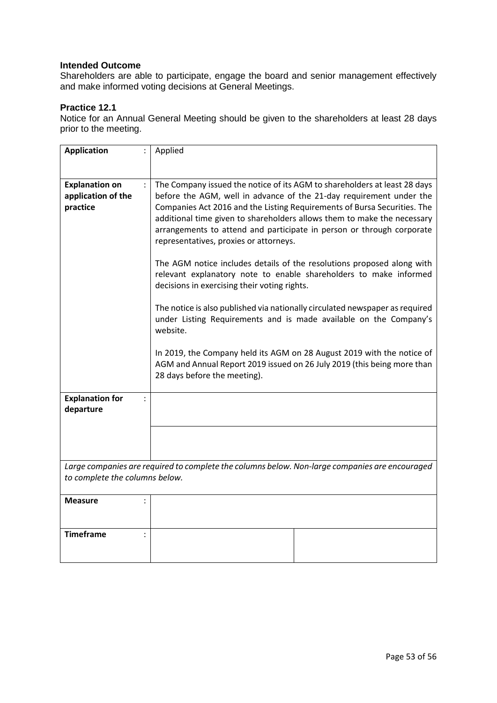Shareholders are able to participate, engage the board and senior management effectively and make informed voting decisions at General Meetings.

## **Practice 12.1**

Notice for an Annual General Meeting should be given to the shareholders at least 28 days prior to the meeting.

| <b>Application</b>                      | Applied                                                                                                                                                                                                                                                                |
|-----------------------------------------|------------------------------------------------------------------------------------------------------------------------------------------------------------------------------------------------------------------------------------------------------------------------|
|                                         |                                                                                                                                                                                                                                                                        |
| <b>Explanation on</b><br>$\ddot{\cdot}$ | The Company issued the notice of its AGM to shareholders at least 28 days                                                                                                                                                                                              |
| application of the                      | before the AGM, well in advance of the 21-day requirement under the                                                                                                                                                                                                    |
| practice                                | Companies Act 2016 and the Listing Requirements of Bursa Securities. The<br>additional time given to shareholders allows them to make the necessary<br>arrangements to attend and participate in person or through corporate<br>representatives, proxies or attorneys. |
|                                         | The AGM notice includes details of the resolutions proposed along with<br>relevant explanatory note to enable shareholders to make informed<br>decisions in exercising their voting rights.                                                                            |
|                                         | The notice is also published via nationally circulated newspaper as required<br>under Listing Requirements and is made available on the Company's<br>website.                                                                                                          |
|                                         | In 2019, the Company held its AGM on 28 August 2019 with the notice of<br>AGM and Annual Report 2019 issued on 26 July 2019 (this being more than<br>28 days before the meeting).                                                                                      |
| <b>Explanation for</b><br>departure     |                                                                                                                                                                                                                                                                        |
|                                         |                                                                                                                                                                                                                                                                        |
|                                         |                                                                                                                                                                                                                                                                        |
|                                         | Large companies are required to complete the columns below. Non-large companies are encouraged                                                                                                                                                                         |
| to complete the columns below.          |                                                                                                                                                                                                                                                                        |
| <b>Measure</b>                          |                                                                                                                                                                                                                                                                        |
| <b>Timeframe</b>                        |                                                                                                                                                                                                                                                                        |
|                                         |                                                                                                                                                                                                                                                                        |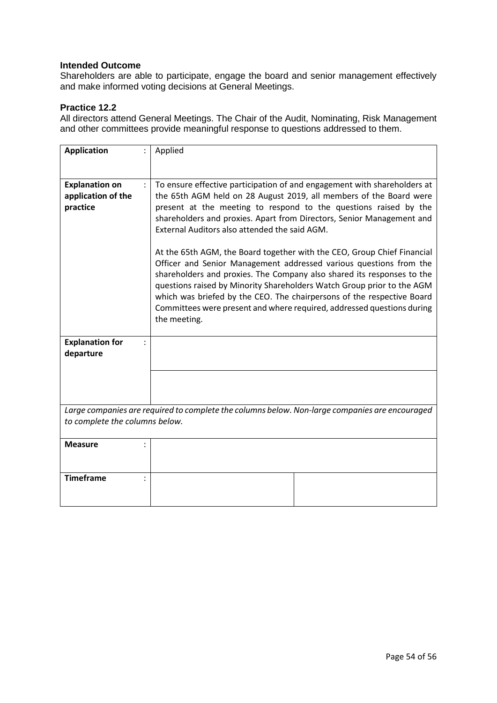Shareholders are able to participate, engage the board and senior management effectively and make informed voting decisions at General Meetings.

# **Practice 12.2**

All directors attend General Meetings. The Chair of the Audit, Nominating, Risk Management and other committees provide meaningful response to questions addressed to them.

| <b>Application</b>                                                                             | Applied                                                                                                                                                                                                                                                                                                                                                                                                                 |
|------------------------------------------------------------------------------------------------|-------------------------------------------------------------------------------------------------------------------------------------------------------------------------------------------------------------------------------------------------------------------------------------------------------------------------------------------------------------------------------------------------------------------------|
| <b>Explanation on</b><br>application of the<br>practice                                        | To ensure effective participation of and engagement with shareholders at<br>the 65th AGM held on 28 August 2019, all members of the Board were<br>present at the meeting to respond to the questions raised by the<br>shareholders and proxies. Apart from Directors, Senior Management and<br>External Auditors also attended the said AGM.<br>At the 65th AGM, the Board together with the CEO, Group Chief Financial |
|                                                                                                | Officer and Senior Management addressed various questions from the<br>shareholders and proxies. The Company also shared its responses to the<br>questions raised by Minority Shareholders Watch Group prior to the AGM<br>which was briefed by the CEO. The chairpersons of the respective Board<br>Committees were present and where required, addressed questions during<br>the meeting.                              |
| <b>Explanation for</b><br>departure                                                            |                                                                                                                                                                                                                                                                                                                                                                                                                         |
|                                                                                                |                                                                                                                                                                                                                                                                                                                                                                                                                         |
| Large companies are required to complete the columns below. Non-large companies are encouraged |                                                                                                                                                                                                                                                                                                                                                                                                                         |
| to complete the columns below.                                                                 |                                                                                                                                                                                                                                                                                                                                                                                                                         |
| <b>Measure</b>                                                                                 |                                                                                                                                                                                                                                                                                                                                                                                                                         |
| <b>Timeframe</b>                                                                               |                                                                                                                                                                                                                                                                                                                                                                                                                         |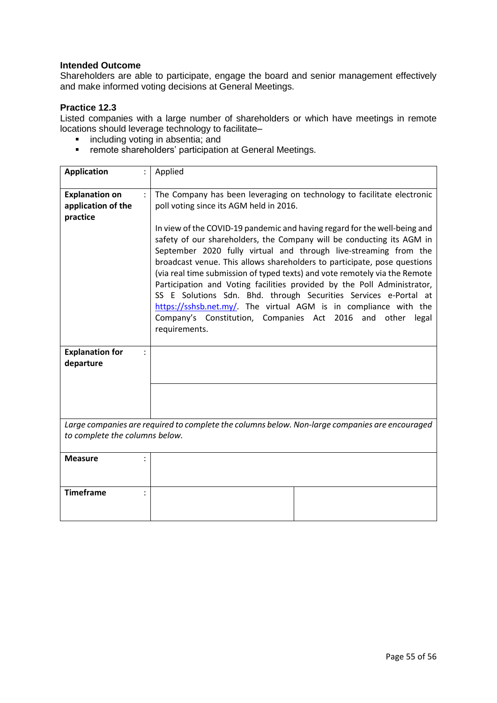Shareholders are able to participate, engage the board and senior management effectively and make informed voting decisions at General Meetings.

### **Practice 12.3**

Listed companies with a large number of shareholders or which have meetings in remote locations should leverage technology to facilitate–

- **i** including voting in absentia; and
- **F** remote shareholders' participation at General Meetings.

| <b>Application</b>                                                                             | Applied                                                                                                                                                                                                                                                                                                                                                                                                                                                                                                                                                                                                                                                                               |  |
|------------------------------------------------------------------------------------------------|---------------------------------------------------------------------------------------------------------------------------------------------------------------------------------------------------------------------------------------------------------------------------------------------------------------------------------------------------------------------------------------------------------------------------------------------------------------------------------------------------------------------------------------------------------------------------------------------------------------------------------------------------------------------------------------|--|
| <b>Explanation on</b>                                                                          | The Company has been leveraging on technology to facilitate electronic                                                                                                                                                                                                                                                                                                                                                                                                                                                                                                                                                                                                                |  |
| application of the                                                                             | poll voting since its AGM held in 2016.                                                                                                                                                                                                                                                                                                                                                                                                                                                                                                                                                                                                                                               |  |
| practice                                                                                       |                                                                                                                                                                                                                                                                                                                                                                                                                                                                                                                                                                                                                                                                                       |  |
|                                                                                                | In view of the COVID-19 pandemic and having regard for the well-being and<br>safety of our shareholders, the Company will be conducting its AGM in<br>September 2020 fully virtual and through live-streaming from the<br>broadcast venue. This allows shareholders to participate, pose questions<br>(via real time submission of typed texts) and vote remotely via the Remote<br>Participation and Voting facilities provided by the Poll Administrator,<br>SS E Solutions Sdn. Bhd. through Securities Services e-Portal at<br>https://sshsb.net.my/. The virtual AGM is in compliance with the<br>Company's Constitution, Companies Act 2016 and other<br>legal<br>requirements. |  |
| <b>Explanation for</b>                                                                         |                                                                                                                                                                                                                                                                                                                                                                                                                                                                                                                                                                                                                                                                                       |  |
| departure                                                                                      |                                                                                                                                                                                                                                                                                                                                                                                                                                                                                                                                                                                                                                                                                       |  |
|                                                                                                |                                                                                                                                                                                                                                                                                                                                                                                                                                                                                                                                                                                                                                                                                       |  |
|                                                                                                |                                                                                                                                                                                                                                                                                                                                                                                                                                                                                                                                                                                                                                                                                       |  |
|                                                                                                |                                                                                                                                                                                                                                                                                                                                                                                                                                                                                                                                                                                                                                                                                       |  |
| Large companies are required to complete the columns below. Non-large companies are encouraged |                                                                                                                                                                                                                                                                                                                                                                                                                                                                                                                                                                                                                                                                                       |  |
| to complete the columns below.                                                                 |                                                                                                                                                                                                                                                                                                                                                                                                                                                                                                                                                                                                                                                                                       |  |
| <b>Measure</b>                                                                                 |                                                                                                                                                                                                                                                                                                                                                                                                                                                                                                                                                                                                                                                                                       |  |
|                                                                                                |                                                                                                                                                                                                                                                                                                                                                                                                                                                                                                                                                                                                                                                                                       |  |
| <b>Timeframe</b>                                                                               |                                                                                                                                                                                                                                                                                                                                                                                                                                                                                                                                                                                                                                                                                       |  |
|                                                                                                |                                                                                                                                                                                                                                                                                                                                                                                                                                                                                                                                                                                                                                                                                       |  |
|                                                                                                |                                                                                                                                                                                                                                                                                                                                                                                                                                                                                                                                                                                                                                                                                       |  |